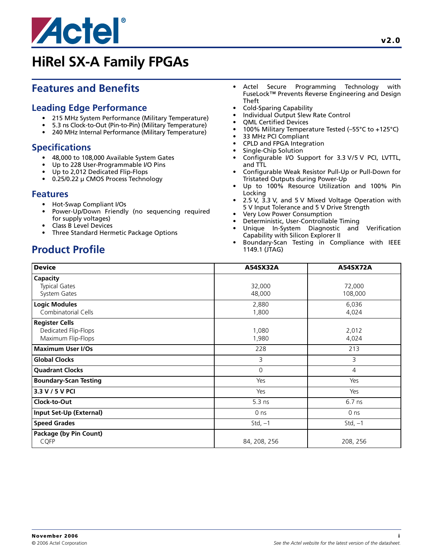

# **Features and Benefits**

### **Leading Edge Performance**

- 215 MHz System Performance (Military Temperature)
- 5.3 ns Clock-to-Out (Pin-to-Pin) (Military Temperature)
- 240 MHz Internal Performance (Military Temperature)

# **Specifications**

- 48,000 to 108,000 Available System Gates
- Up to 228 User-Programmable I/O Pins
- Up to 2,012 Dedicated Flip-Flops
- 0.25/0.22 µ CMOS Process Technology

#### **Features**

- Hot-Swap Compliant I/Os
- Power-Up/Down Friendly (no sequencing required for supply voltages)
- Class B Level Devices
- Three Standard Hermetic Package Options

# **Product Profile**

- Actel Secure Programming Technology with FuseLock™ Prevents Reverse Engineering and Design Theft
- Cold-Sparing Capability
- Individual Output Slew Rate Control
- QML Certified Devices
- 100% Military Temperature Tested (–55°C to +125°C)
- 33 MHz PCI Compliant
- CPLD and FPGA Integration
- Single-Chip Solution
- Configurable I/O Support for 3.3 V/5 V PCI, LVTTL, and TTL
- Configurable Weak Resistor Pull-Up or Pull-Down for Tristated Outputs during Power-Up
- Up to 100% Resource Utilization and 100% Pin Locking
- 2.5 V, 3.3 V, and 5 V Mixed Voltage Operation with 5 V Input Tolerance and 5 V Drive Strength
- Very Low Power Consumption
- Deterministic, User-Controllable Timing
- Unique In-System Diagnostic and Verification Capability with Silicon Explorer II
- Boundary-Scan Testing in Compliance with IEEE 1149.1 (JTAG)

| <b>Device</b>                                                       | A54SX32A         | A54SX72A          |  |
|---------------------------------------------------------------------|------------------|-------------------|--|
| Capacity<br><b>Typical Gates</b><br>System Gates                    | 32,000<br>48,000 | 72,000<br>108,000 |  |
| <b>Logic Modules</b><br>Combinatorial Cells                         | 2,880<br>1,800   | 6,036<br>4,024    |  |
| <b>Register Cells</b><br>Dedicated Flip-Flops<br>Maximum Flip-Flops | 1,080<br>1,980   | 2,012<br>4,024    |  |
| <b>Maximum User I/Os</b>                                            | 228              | 213               |  |
| <b>Global Clocks</b>                                                | 3                | 3                 |  |
| <b>Quadrant Clocks</b>                                              | 0                | 4                 |  |
| <b>Boundary-Scan Testing</b>                                        | Yes              | Yes               |  |
| 3.3 V / 5 V PCI                                                     | Yes              | Yes               |  |
| Clock-to-Out                                                        | $5.3$ ns         | $6.7$ ns          |  |
| Input Set-Up (External)                                             | 0 <sub>ns</sub>  | 0 <sub>ns</sub>   |  |
| <b>Speed Grades</b>                                                 | Std, $-1$        | Std, $-1$         |  |
| Package (by Pin Count)<br><b>CQFP</b>                               | 84, 208, 256     | 208, 256          |  |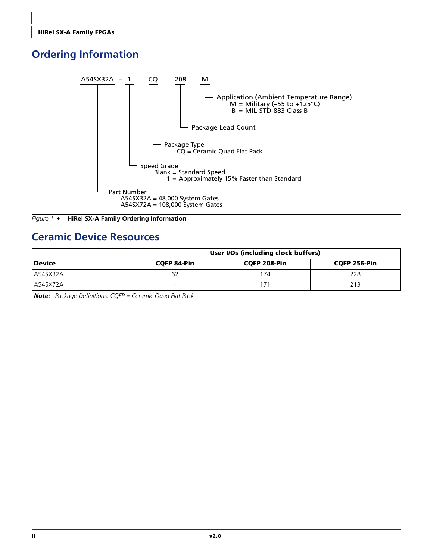# <span id="page-1-0"></span>**Ordering Information**





# **Ceramic Device Resources**

|          | User I/Os (including clock buffers) |              |              |  |
|----------|-------------------------------------|--------------|--------------|--|
| l Device | <b>CQFP 84-Pin</b>                  | CQFP 208-Pin | CQFP 256-Pin |  |
| A54SX32A | b/                                  | 174          | 228          |  |
| A54SX72A | -                                   |              | 213          |  |

*Note: Package Definitions: CQFP = Ceramic Quad Flat Pack*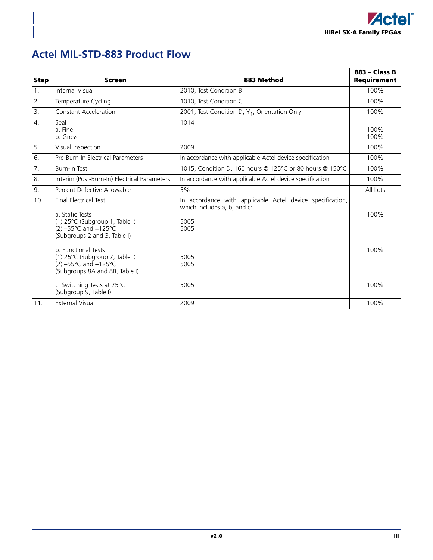

# **Actel MIL-STD-883 Product Flow**

| <b>Step</b> | <b>Screen</b>                                                                                                                                                                                                | 883 Method                                                                                                       | 883 - Class B<br><b>Requirement</b> |
|-------------|--------------------------------------------------------------------------------------------------------------------------------------------------------------------------------------------------------------|------------------------------------------------------------------------------------------------------------------|-------------------------------------|
| 1.          | Internal Visual                                                                                                                                                                                              | 2010, Test Condition B                                                                                           | 100%                                |
| 2.          | Temperature Cycling                                                                                                                                                                                          | 1010, Test Condition C                                                                                           | 100%                                |
| 3.          | Constant Acceleration                                                                                                                                                                                        | 2001, Test Condition D, Y <sub>1</sub> , Orientation Only                                                        | 100%                                |
| 4.          | Seal<br>a. Fine<br>b. Gross                                                                                                                                                                                  | 1014                                                                                                             | 100%<br>100%                        |
| 5.          | Visual Inspection                                                                                                                                                                                            | 2009                                                                                                             | 100%                                |
| 6.          | Pre-Burn-In Electrical Parameters                                                                                                                                                                            | In accordance with applicable Actel device specification                                                         | 100%                                |
| 7.          | <b>Burn-In Test</b>                                                                                                                                                                                          | 1015, Condition D, 160 hours @ 125°C or 80 hours @ 150°C                                                         | 100%                                |
| 8.          | Interim (Post-Burn-In) Electrical Parameters                                                                                                                                                                 | In accordance with applicable Actel device specification                                                         | 100%                                |
| 9.          | Percent Defective Allowable                                                                                                                                                                                  | 5%                                                                                                               | All Lots                            |
| 10.         | <b>Final Electrical Test</b><br>a. Static Tests<br>(1) 25°C (Subgroup 1, Table I)<br>$(2) -55^{\circ}$ C and +125°C<br>(Subgroups 2 and 3, Table I)<br>b. Functional Tests<br>(1) 25°C (Subgroup 7, Table I) | In accordance with applicable Actel device specification,<br>which includes a, b, and c:<br>5005<br>5005<br>5005 | 100%<br>100%                        |
| 11.         | $(2) -55^{\circ}$ C and +125°C<br>(Subgroups 8A and 8B, Table I)<br>c. Switching Tests at 25°C<br>(Subgroup 9, Table I)<br><b>External Visual</b>                                                            | 5005<br>5005<br>2009                                                                                             | 100%<br>100%                        |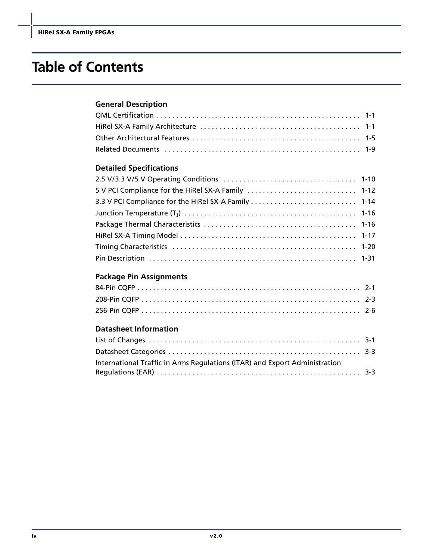# **Table of Contents**

### **[General Description](#page-4-0)**

### **[Detailed Specifications](#page-13-0)**

| 3.3 V PCI Compliance for the HiRel SX-A Family  1-14 |  |
|------------------------------------------------------|--|
|                                                      |  |
|                                                      |  |
|                                                      |  |
|                                                      |  |
|                                                      |  |

### **[Package Pin Assignments](#page-36-0)**

# **[Datasheet Information](#page-46-0)**

| International Traffic in Arms Regulations (ITAR) and Export Administration |  |
|----------------------------------------------------------------------------|--|
|                                                                            |  |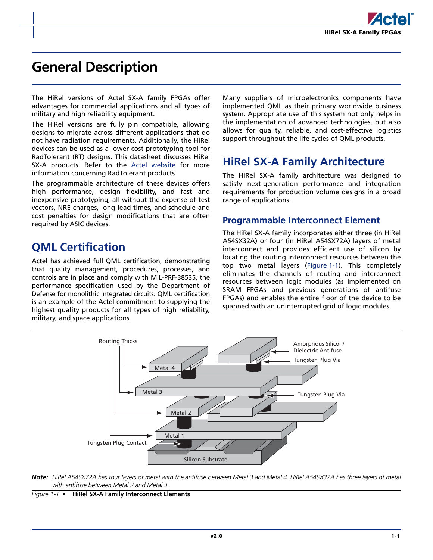

# <span id="page-4-0"></span>**General Description**

The HiRel versions of Actel SX-A family FPGAs offer advantages for commercial applications and all types of military and high reliability equipment.

The HiRel versions are fully pin compatible, allowing designs to migrate across different applications that do not have radiation requirements. Additionally, the HiRel devices can be used as a lower cost prototyping tool for RadTolerant (RT) designs. This datasheet discusses HiRel SX-A products. Refer to the [Actel website](http://www.actel.com/products/aero/) for more information concerning RadTolerant products.

The programmable architecture of these devices offers high performance, design flexibility, and fast and inexpensive prototyping, all without the expense of test vectors, NRE charges, long lead times, and schedule and cost penalties for design modifications that are often required by ASIC devices.

# <span id="page-4-1"></span>**QML Certification**

Actel has achieved full QML certification, demonstrating that quality management, procedures, processes, and controls are in place and comply with MIL-PRF-38535, the performance specification used by the Department of Defense for monolithic integrated circuits. QML certification is an example of the Actel commitment to supplying the highest quality products for all types of high reliability, military, and space applications.

Many suppliers of microelectronics components have implemented QML as their primary worldwide business system. Appropriate use of this system not only helps in the implementation of advanced technologies, but also allows for quality, reliable, and cost-effective logistics support throughout the life cycles of QML products.

# <span id="page-4-2"></span>**HiRel SX-A Family Architecture**

The HiRel SX-A family architecture was designed to satisfy next-generation performance and integration requirements for production volume designs in a broad range of applications.

### **Programmable Interconnect Element**

The HiRel SX-A family incorporates either three (in HiRel A54SX32A) or four (in HiRel A54SX72A) layers of metal interconnect and provides efficient use of silicon by locating the routing interconnect resources between the top two metal layers [\(Figure 1-1\)](#page-4-3). This completely eliminates the channels of routing and interconnect resources between logic modules (as implemented on SRAM FPGAs and previous generations of antifuse FPGAs) and enables the entire floor of the device to be spanned with an uninterrupted grid of logic modules.



*Note: HiRel A54SX72A has four layers of metal with the antifuse between Metal 3 and Metal 4. HiRel A54SX32A has three layers of metal with antifuse between Metal 2 and Metal 3.*

<span id="page-4-4"></span><span id="page-4-3"></span>*Figure 1-1 •* **HiRel SX-A Family Interconnect Elements**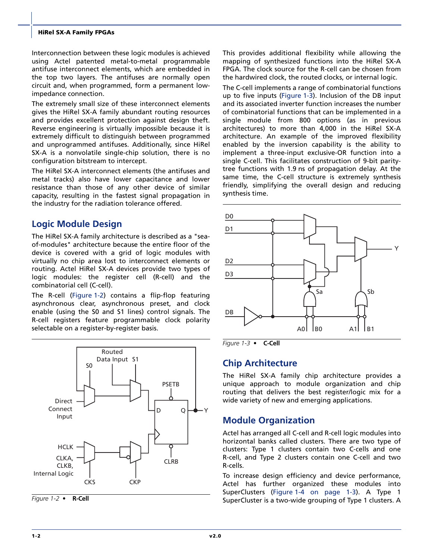Interconnection between these logic modules is achieved using Actel patented metal-to-metal programmable antifuse interconnect elements, which are embedded in the top two layers. The antifuses are normally open circuit and, when programmed, form a permanent lowimpedance connection.

The extremely small size of these interconnect elements gives the HiRel SX-A family abundant routing resources and provides excellent protection against design theft. Reverse engineering is virtually impossible because it is extremely difficult to distinguish between programmed and unprogrammed antifuses. Additionally, since HiRel SX-A is a nonvolatile single-chip solution, there is no configuration bitstream to intercept.

The HiRel SX-A interconnect elements (the antifuses and metal tracks) also have lower capacitance and lower resistance than those of any other device of similar capacity, resulting in the fastest signal propagation in the industry for the radiation tolerance offered.

# **Logic Module Design**

The HiRel SX-A family architecture is described as a "seaof-modules" architecture because the entire floor of the device is covered with a grid of logic modules with virtually no chip area lost to interconnect elements or routing. Actel HiRel SX-A devices provide two types of logic modules: the register cell (R-cell) and the combinatorial cell (C-cell).

The R-cell [\(Figure 1-2](#page-5-0)) contains a flip-flop featuring asynchronous clear, asynchronous preset, and clock enable (using the S0 and S1 lines) control signals. The R-cell registers feature programmable clock polarity selectable on a register-by-register basis.



<span id="page-5-0"></span>

This provides additional flexibility while allowing the mapping of synthesized functions into the HiRel SX-A FPGA. The clock source for the R-cell can be chosen from the hardwired clock, the routed clocks, or internal logic.

The C-cell implements a range of combinatorial functions up to five inputs [\(Figure 1-3\)](#page-5-1). Inclusion of the DB input and its associated inverter function increases the number of combinatorial functions that can be implemented in a single module from 800 options (as in previous architectures) to more than 4,000 in the HiRel SX-A architecture. An example of the improved flexibility enabled by the inversion capability is the ability to implement a three-input exclusive-OR function into a single C-cell. This facilitates construction of 9-bit paritytree functions with 1.9 ns of propagation delay. At the same time, the C-cell structure is extremely synthesis friendly, simplifying the overall design and reducing synthesis time.



<span id="page-5-1"></span>*Figure 1-3 •* **C-Cell**

### **Chip Architecture**

The HiRel SX-A family chip architecture provides a unique approach to module organization and chip routing that delivers the best register/logic mix for a wide variety of new and emerging applications.

### **Module Organization**

Actel has arranged all C-cell and R-cell logic modules into horizontal banks called clusters. There are two type of clusters: Type 1 clusters contain two C-cells and one R-cell, and Type 2 clusters contain one C-cell and two R-cells.

To increase design efficiency and device performance, Actel has further organized these modules into SuperClusters [\(Figure 1-4 on page 1-3](#page-6-0)). A Type 1 Figure 1-2 • **R-Cell R-Cell** SuperCluster is a two-wide grouping of Type 1 clusters. A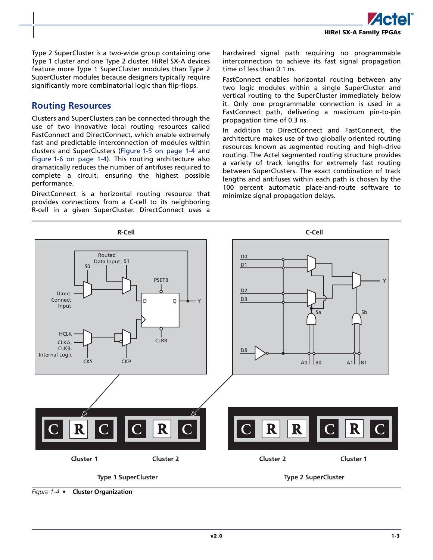Type 2 SuperCluster is a two-wide group containing one Type 1 cluster and one Type 2 cluster. HiRel SX-A devices feature more Type 1 SuperCluster modules than Type 2 SuperCluster modules because designers typically require significantly more combinatorial logic than flip-flops.

### **Routing Resources**

Clusters and SuperClusters can be connected through the use of two innovative local routing resources called FastConnect and DirectConnect, which enable extremely fast and predictable interconnection of modules within clusters and SuperClusters ([Figure 1-5 on page 1-4](#page-7-0) and [Figure 1-6 on page 1-4\)](#page-7-1). This routing architecture also dramatically reduces the number of antifuses required to complete a circuit, ensuring the highest possible performance.

DirectConnect is a horizontal routing resource that provides connections from a C-cell to its neighboring R-cell in a given SuperCluster. DirectConnect uses a

hardwired signal path requiring no programmable interconnection to achieve its fast signal propagation time of less than 0.1 ns.

FastConnect enables horizontal routing between any two logic modules within a single SuperCluster and vertical routing to the SuperCluster immediately below it. Only one programmable connection is used in a FastConnect path, delivering a maximum pin-to-pin propagation time of 0.3 ns.

In addition to DirectConnect and FastConnect, the architecture makes use of two globally oriented routing resources known as *s*egmented routing and high-drive routing. The Actel segmented routing structure provides a variety of track lengths for extremely fast routing between SuperClusters. The exact combination of track lengths and antifuses within each path is chosen by the 100 percent automatic place-and-route software to minimize signal propagation delays.



<span id="page-6-0"></span>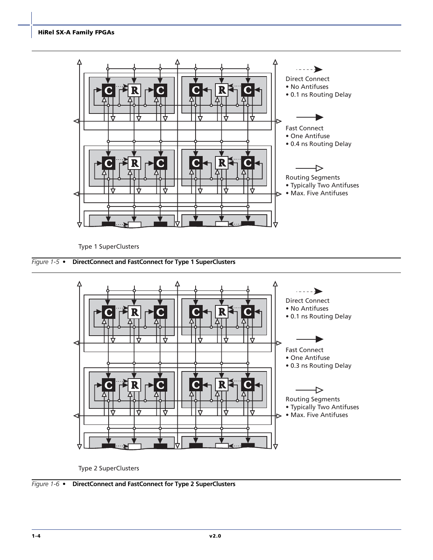

Type 1 SuperClusters

<span id="page-7-0"></span>



Type 2 SuperClusters

<span id="page-7-1"></span>*Figure 1-6 •* **DirectConnect and FastConnect for Type 2 SuperClusters**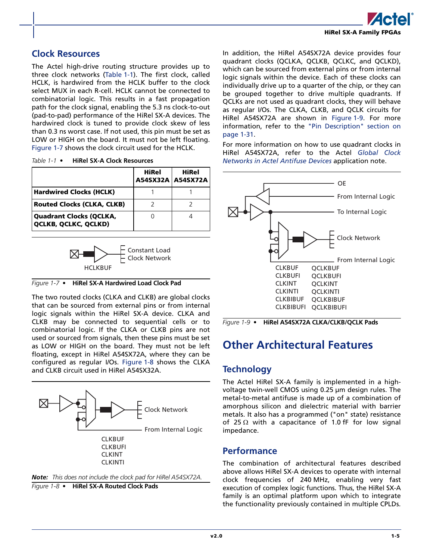

### <span id="page-8-5"></span>**Clock Resources**

The Actel high-drive routing structure provides up to three clock networks ([Table 1-1\)](#page-8-1). The first clock, called HCLK, is hardwired from the HCLK buffer to the clock select MUX in each R-cell. HCLK cannot be connected to combinatorial logic. This results in a fast propagation path for the clock signal, enabling the 5.3 ns clock-to-out (pad-to-pad) performance of the HiRel SX-A devices. The hardwired clock is tuned to provide clock skew of less than 0.3 ns worst case. If not used, this pin must be set as LOW or HIGH on the board. It must not be left floating. [Figure 1-7](#page-8-2) shows the clock circuit used for the HCLK.

<span id="page-8-1"></span>

| Table $1-1$ $\bullet$ | <b>HiRel SX-A Clock Resources</b> |  |
|-----------------------|-----------------------------------|--|
|                       |                                   |  |

|                                                               | HiRel<br>A54SX32A   A54SX72A | <b>HiRel</b> |
|---------------------------------------------------------------|------------------------------|--------------|
| <b>Hardwired Clocks (HCLK)</b>                                |                              |              |
| <b>Routed Clocks (CLKA, CLKB)</b>                             |                              |              |
| <b>Quadrant Clocks (QCLKA,</b><br><b>QCLKB, QCLKC, QCLKD)</b> |                              |              |



<span id="page-8-2"></span>

The two routed clocks (CLKA and CLKB) are global clocks that can be sourced from external pins or from internal logic signals within the HiRel SX-A device. CLKA and CLKB may be connected to sequential cells or to combinatorial logic. If the CLKA or CLKB pins are not used or sourced from signals, then these pins must be set as LOW or HIGH on the board. They must not be left floating, except in HiRel A54SX72A, where they can be configured as regular I/Os. [Figure 1-8](#page-8-3) shows the CLKA and CLKB circuit used in HiRel A54SX32A.



<span id="page-8-3"></span>

In addition, the HiRel A54SX72A device provides four quadrant clocks (QCLKA, QCLKB, QCLKC, and QCLKD), which can be sourced from external pins or from internal logic signals within the device. Each of these clocks can individually drive up to a quarter of the chip, or they can be grouped together to drive multiple quadrants. If QCLKs are not used as quadrant clocks, they will behave as regular I/Os. The CLKA, CLKB, and QCLK circuits for HiRel A54SX72A are shown in [Figure 1-9.](#page-8-4) For more information, refer to the ["Pin Description" section on](#page-34-0) [page 1-31.](#page-34-0)

For more information on how to use quadrant clocks in HiRel A54SX72A, refer to the Actel *[Global Clock](http://www.actel.com/documents/GlobalClk_AN.pdf) [Networks in Actel Antifuse Devices](http://www.actel.com/documents/GlobalClk_AN.pdf)* application note.



<span id="page-8-4"></span>*Figure 1-9 •* **HiRel A54SX72A CLKA/CLKB/QCLK Pads**

# <span id="page-8-0"></span>**Other Architectural Features**

# **Technology**

The Actel HiRel SX-A family is implemented in a highvoltage twin-well CMOS using 0.25 µm design rules. The metal-to-metal antifuse is made up of a combination of amorphous silicon and dielectric material with barrier metals. It also has a programmed ("on" state) resistance of 25  $\Omega$  with a capacitance of 1.0 fF for low signal impedance.

### **Performance**

The combination of architectural features described above allows HiRel SX-A devices to operate with internal clock frequencies of 240 MHz, enabling very fast execution of complex logic functions. Thus, the HiRel SX-A family is an optimal platform upon which to integrate the functionality previously contained in multiple CPLDs.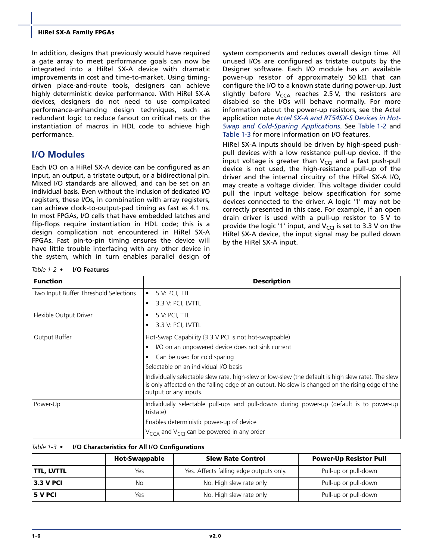In addition, designs that previously would have required a gate array to meet performance goals can now be integrated into a HiRel SX-A device with dramatic improvements in cost and time-to-market. Using timingdriven place-and-route tools, designers can achieve highly deterministic device performance. With HiRel SX-A devices, designers do not need to use complicated performance-enhancing design techniques, such as redundant logic to reduce fanout on critical nets or the instantiation of macros in HDL code to achieve high performance.

# <span id="page-9-2"></span>**I/O Modules**

Each I/O on a HiRel SX-A device can be configured as an input, an output, a tristate output, or a bidirectional pin. Mixed I/O standards are allowed, and can be set on an individual basis. Even without the inclusion of dedicated I/O registers, these I/Os, in combination with array registers, can achieve clock-to-output-pad timing as fast as 4.1 ns. In most FPGAs, I/O cells that have embedded latches and flip-flops require instantiation in HDL code; this is a design complication not encountered in HiRel SX-A FPGAs. Fast pin-to-pin timing ensures the device will have little trouble interfacing with any other device in the system, which in turn enables parallel design of system components and reduces overall design time. All unused I/Os are configured as tristate outputs by the Designer software. Each I/O module has an available power-up resistor of approximately 50 kΩ that can configure the I/O to a known state during power-up. Just slightly before  $V_{\text{CCA}}$  reaches 2.5 V, the resistors are disabled so the I/Os will behave normally. For more information about the power-up resistors, see the Actel application note *[Actel SX-A and RT54SX-S Devices in Hot-](http://www.actel.com/documents/HotSwapColdSparing_AN.pdf)[Swap and Cold-Sparing Applications](http://www.actel.com/documents/HotSwapColdSparing_AN.pdf)*. See [Table 1-2](#page-9-0) and [Table 1-3](#page-9-1) for more information on I/O features.

HiRel SX-A inputs should be driven by high-speed pushpull devices with a low resistance pull-up device. If the input voltage is greater than  $V_{\text{CCI}}$  and a fast push-pull device is not used, the high-resistance pull-up of the driver and the internal circuitry of the HiRel SX-A I/O, may create a voltage divider. This voltage divider could pull the input voltage below specification for some devices connected to the driver. A logic '1' may not be correctly presented in this case. For example, if an open drain driver is used with a pull-up resistor to 5 V to provide the logic '1' input, and  $V_{\text{CC}}$  is set to 3.3 V on the HiRel SX-A device, the input signal may be pulled down by the HiRel SX-A input.

<span id="page-9-3"></span><span id="page-9-0"></span>*Table 1-2 •* **I/O Features**

| <b>Function</b>                       | <b>Description</b>                                                                                                                                                                                                             |
|---------------------------------------|--------------------------------------------------------------------------------------------------------------------------------------------------------------------------------------------------------------------------------|
| Two Input Buffer Threshold Selections | 5 V: PCI, TTL<br>$\bullet$                                                                                                                                                                                                     |
|                                       | 3.3 V: PCI, LVTTL<br>$\bullet$                                                                                                                                                                                                 |
| Flexible Output Driver                | 5 V: PCI, TTL<br>$\bullet$                                                                                                                                                                                                     |
|                                       | 3.3 V: PCI, LVTTL<br>$\bullet$                                                                                                                                                                                                 |
| Output Buffer                         | Hot-Swap Capability (3.3 V PCI is not hot-swappable)                                                                                                                                                                           |
|                                       | I/O on an unpowered device does not sink current<br>$\bullet$                                                                                                                                                                  |
|                                       | Can be used for cold sparing<br>$\bullet$                                                                                                                                                                                      |
|                                       | Selectable on an individual I/O basis                                                                                                                                                                                          |
|                                       | Individually selectable slew rate, high-slew or low-slew (the default is high slew rate). The slew<br>is only affected on the falling edge of an output. No slew is changed on the rising edge of the<br>output or any inputs. |
| Power-Up                              | Individually selectable pull-ups and pull-downs during power-up (default is to power-up<br>tristate)                                                                                                                           |
|                                       | Enables deterministic power-up of device                                                                                                                                                                                       |
|                                       | $V_{\text{CCA}}$ and $V_{\text{CC}}$ can be powered in any order                                                                                                                                                               |

#### <span id="page-9-4"></span><span id="page-9-1"></span>*Table 1-3 •* **I/O Characteristics for All I/O Configurations**

|                    | <b>Hot-Swappable</b> | <b>Slew Rate Control</b>                | <b>Power-Up Resistor Pull</b> |
|--------------------|----------------------|-----------------------------------------|-------------------------------|
| <b>ITTL, LVTTL</b> | Yes                  | Yes. Affects falling edge outputs only. | Pull-up or pull-down          |
| <b>3.3 V PCI</b>   | No                   | No. High slew rate only.                | Pull-up or pull-down          |
| <b>15 V PCI</b>    | Yes                  | No. High slew rate only.                | Pull-up or pull-down          |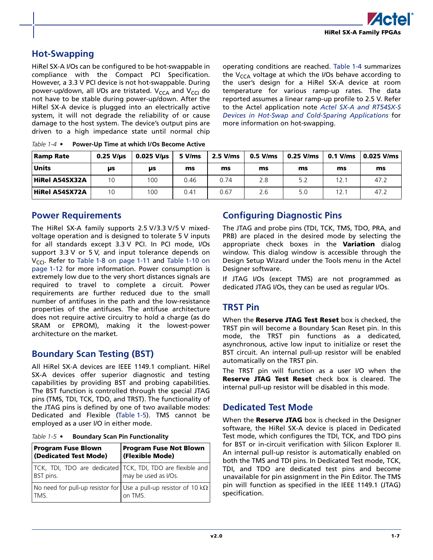

# <span id="page-10-2"></span>**Hot-Swapping**

HiRel SX-A I/Os can be configured to be hot-swappable in compliance with the Compact PCI Specification. However, a 3.3 V PCI device is not hot-swappable. During power-up/down, all I/Os are tristated. V<sub>CCA</sub> and V<sub>CCI</sub> do not have to be stable during power-up/down. After the HiRel SX-A device is plugged into an electrically active system, it will not degrade the reliability of or cause damage to the host system. The device's output pins are driven to a high impedance state until normal chip operating conditions are reached. [Table 1-4](#page-10-0) summarizes the  $V_{CCA}$  voltage at which the I/Os behave according to the user's design for a HiRel SX-A device at room temperature for various ramp-up rates. The data reported assumes a linear ramp-up profile to 2.5 V. Refer to the Actel application note *[Actel SX-A and RT54SX-S](http://www.actel.com/documents/HotSwapColdSparing_AN.pdf) [Devices in Hot-Swap and Cold-Sparing Applications](http://www.actel.com/documents/HotSwapColdSparing_AN.pdf)* for more information on hot-swapping.

| Ramp Rate             | $0.25$ V/us | $0.025$ V/us | 5 V/ms | $2.5$ V/ms | $0.5$ V/ms | $0.25$ V/ms | $0.1$ V/ms | l 0.025 V/ms |
|-----------------------|-------------|--------------|--------|------------|------------|-------------|------------|--------------|
| <b>Units</b>          | μs          | μs           | ms     | ms         | ms         | ms          | ms         | ms           |
| <b>HiRel A54SX32A</b> | 10          | 100          | 0.46   | 0.74       | 2.8        | 5.2         | 12.1       | 47.2         |
| <b>HiRel A54SX72A</b> | 10          | 100          | 0.41   | 0.67       | 2.6        | 5.0         | 12.1       | 47.2         |

<span id="page-10-3"></span><span id="page-10-0"></span>*Table 1-4 •* **Power-Up Time at which I/Os Become Active**

### <span id="page-10-4"></span>**Power Requirements**

The HiRel SX-A family supports 2.5 V/3.3 V/5 V mixedvoltage operation and is designed to tolerate 5 V inputs for all standards except 3.3 V PCI. In PCI mode, I/Os support 3.3 V or 5 V, and input tolerance depends on  $V_{\text{CCl}}$ . Refer to [Table 1-8 on page 1-11](#page-14-0) and [Table 1-10 on](#page-15-1) [page 1-12](#page-15-1) for more information. Power consumption is extremely low due to the very short distances signals are required to travel to complete a circuit. Power requirements are further reduced due to the small number of antifuses in the path and the low-resistance properties of the antifuses. The antifuse architecture does not require active circuitry to hold a charge (as do SRAM or EPROM), making it the lowest-power architecture on the market.

### <span id="page-10-5"></span>**Boundary Scan Testing (BST)**

All HiRel SX-A devices are IEEE 1149.1 compliant. HiRel SX-A devices offer superior diagnostic and testing capabilities by providing BST and probing capabilities. The BST function is controlled through the special JTAG pins (TMS, TDI, TCK, TDO, and TRST). The functionality of the JTAG pins is defined by one of two available modes: Dedicated and Flexible [\(Table 1-5](#page-10-1)). TMS cannot be employed as a user I/O in either mode.

<span id="page-10-1"></span>

| Table 1-5 $\bullet$ |  | <b>Boundary Scan Pin Functionality</b> |
|---------------------|--|----------------------------------------|
|                     |  |                                        |

| <b>Program Fuse Blown</b><br>(Dedicated Test Mode)                               | <b>Program Fuse Not Blown</b><br>(Flexible Mode) |
|----------------------------------------------------------------------------------|--------------------------------------------------|
| TCK, TDI, TDO are dedicated TCK, TDI, TDO are flexible and<br>BST pins.          | may be used as I/Os.                             |
| No need for pull-up resistor for Use a pull-up resistor of 10 k $\Omega$<br>TMS. | on TMS                                           |

# <span id="page-10-6"></span>**Configuring Diagnostic Pins**

The JTAG and probe pins (TDI, TCK, TMS, TDO, PRA, and PRB) are placed in the desired mode by selecting the appropriate check boxes in the **Variation** dialog window. This dialog window is accessible through the Design Setup Wizard under the Tools menu in the Actel Designer software.

If JTAG I/Os (except TMS) are not programmed as dedicated JTAG I/Os, they can be used as regular I/Os.

### <span id="page-10-7"></span>**TRST Pin**

When the **Reserve JTAG Test Reset** box is checked, the TRST pin will become a Boundary Scan Reset pin. In this mode, the TRST pin functions as a dedicated, asynchronous, active low input to initialize or reset the BST circuit. An internal pull-up resistor will be enabled automatically on the TRST pin.

The TRST pin will function as a user I/O when the **Reserve JTAG Test Reset** check box is cleared. The internal pull-up resistor will be disabled in this mode.

### <span id="page-10-8"></span>**Dedicated Test Mode**

When the **Reserve JTAG** box is checked in the Designer software, the HiRel SX-A device is placed in Dedicated Test mode, which configures the TDI, TCK, and TDO pins for BST or in-circuit verification with Silicon Explorer II. An internal pull-up resistor is automatically enabled on both the TMS and TDI pins. In Dedicated Test mode, TCK, TDI, and TDO are dedicated test pins and become unavailable for pin assignment in the Pin Editor. The TMS pin will function as specified in the IEEE 1149.1 (JTAG) specification.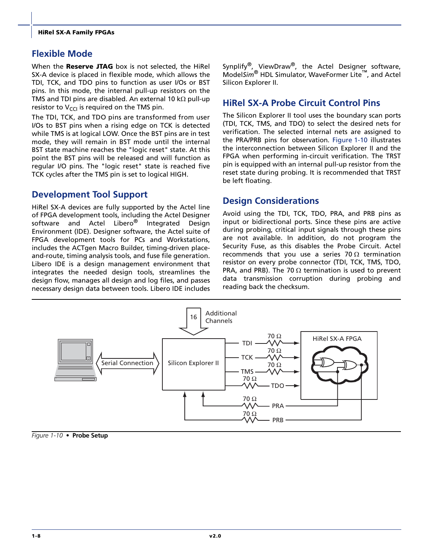# **Flexible Mode**

When the **Reserve JTAG** box is not selected, the HiRel SX-A device is placed in flexible mode, which allows the TDI, TCK, and TDO pins to function as user I/Os or BST pins. In this mode, the internal pull-up resistors on the TMS and TDI pins are disabled. An external 10 kΩ pull-up resistor to  $V_{\text{CCI}}$  is required on the TMS pin.

The TDI, TCK, and TDO pins are transformed from user I/Os to BST pins when a rising edge on TCK is detected while TMS is at logical LOW. Once the BST pins are in test mode, they will remain in BST mode until the internal BST state machine reaches the "logic reset" state. At this point the BST pins will be released and will function as regular I/O pins. The "logic reset" state is reached five TCK cycles after the TMS pin is set to logical HIGH.

# <span id="page-11-3"></span>**Development Tool Support**

HiRel SX-A devices are fully supported by the Actel line of FPGA development tools, including the Actel Designer software and Actel Libero<sup>®</sup> Integrated Design Environment (IDE). Designer software, the Actel suite of FPGA development tools for PCs and Workstations, includes the ACTgen Macro Builder, timing-driven placeand-route, timing analysis tools, and fuse file generation. Libero IDE is a design management environment that integrates the needed design tools, streamlines the design flow, manages all design and log files, and passes necessary design data between tools. Libero IDE includes

Synplify<sup>®</sup>, ViewDraw<sup>®</sup>, the Actel Designer software, Model*Sim*® HDL Simulator, WaveFormer Lite™, and Actel Silicon Explorer II.

### <span id="page-11-4"></span>**HiRel SX-A Probe Circuit Control Pins**

The Silicon Explorer II tool uses the boundary scan ports (TDI, TCK, TMS, and TDO) to select the desired nets for verification. The selected internal nets are assigned to the PRA/PRB pins for observation. [Figure 1-10](#page-11-0) illustrates the interconnection between Silicon Explorer II and the FPGA when performing in-circuit verification. The TRST pin is equipped with an internal pull-up resistor from the reset state during probing. It is recommended that TRST be left floating.

# <span id="page-11-1"></span>**Design Considerations**

Avoid using the TDI, TCK, TDO, PRA, and PRB pins as input or bidirectional ports. Since these pins are active during probing, critical input signals through these pins are not available. In addition, do not program the Security Fuse, as this disables the Probe Circuit. Actel recommends that you use a series 70  $\Omega$  termination resistor on every probe connector (TDI, TCK, TMS, TDO, PRA, and PRB). The 70  $\Omega$  termination is used to prevent data transmission corruption during probing and reading back the checksum.



<span id="page-11-2"></span><span id="page-11-0"></span>*Figure 1-10 •* **Probe Setup**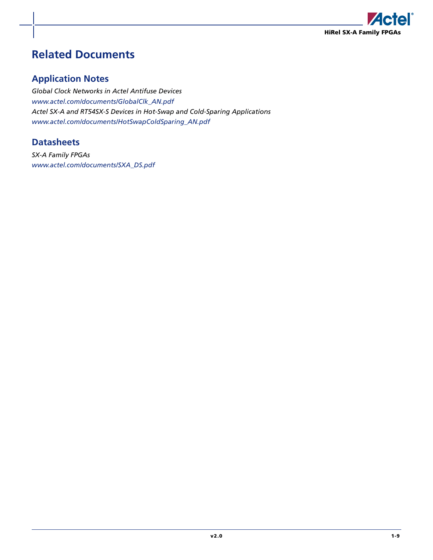

# <span id="page-12-0"></span>**Related Documents**

# **Application Notes**

*[Global Clock Networks in Actel Antifuse Devices](http://www.actel.com/documents/GlobalClk_AN.pdf) [www.actel.com/documents/GlobalClk\\_AN.pdf](http://www.actel.com/documents/GlobalClk_AN.pdf) [Actel SX-A and RT54SX-S Devices in Hot-Swap and Cold-Sparing Applications](http://www.actel.com/documents/HotSwapColdSparing_AN.pdf) [www.actel.com/documents/HotSwapColdSparing\\_AN.pdf](http://www.actel.com/documents/HotSwapColdSparing_AN.pdf)*

# **Datasheets**

*[SX-A Family FPGAs](http://www.actel.com/documents/SXA_DS.pdf) [www.actel.com/documents/SXA\\_DS.pdf](http://www.actel.com/documents/SXA_DS.pdf)*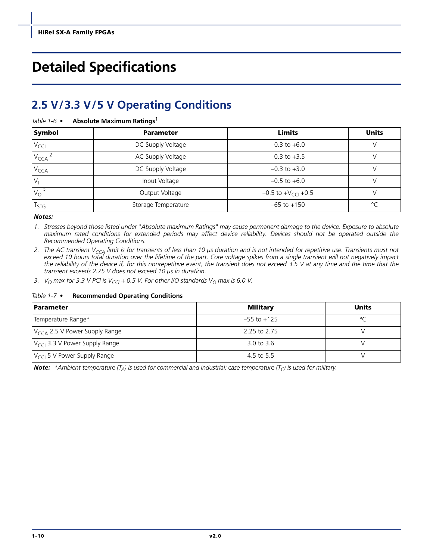# <span id="page-13-0"></span>**Detailed Specifications**

# <span id="page-13-1"></span>**2.5 V/3.3 V/5 V Operating Conditions**

<span id="page-13-3"></span>

| Table 1-6 $\bullet$ |  | <b>Absolute Maximum Ratings1</b> |  |
|---------------------|--|----------------------------------|--|
|---------------------|--|----------------------------------|--|

| Symbol           | <b>Parameter</b>                      |                                  | <b>Units</b> |
|------------------|---------------------------------------|----------------------------------|--------------|
| $V_{\text{CCI}}$ | DC Supply Voltage                     | $-0.3$ to $+6.0$                 |              |
| V <sub>CCA</sub> | AC Supply Voltage<br>$-0.3$ to $+3.5$ |                                  |              |
| $V_{\text{CCA}}$ | DC Supply Voltage                     | $-0.3$ to $+3.0$                 |              |
|                  | Input Voltage                         | $-0.5$ to $+6.0$                 |              |
| $V_0^3$          | Output Voltage                        | $-0.5$ to $+V_{\text{CCl}}$ +0.5 |              |
| l stg            | Storage Temperature                   | $-65$ to $+150$                  | $\circ$      |

*Notes:*

- *1. Stresses beyond those listed under "Absolute maximum Ratings" may cause permanent damage to the device. Exposure to absolute maximum rated conditions for extended periods may affect device reliability. Devices should not be operated outside the Recommended Operating Conditions.*
- 2. The AC transient V<sub>CCA</sub> limit is for transients of less than 10 µs duration and is not intended for repetitive use. Transients must not *exceed 10 hours total duration over the lifetime of the part. Core voltage spikes from a single transient will not negatively impact the reliability of the device if, for this nonrepetitive event, the transient does not exceed 3.5 V at any time and the time that the transient exceeds 2.75 V does not exceed 10 µs in duration.*
- 3. *V*<sub>O</sub> max for 3.3 *V* PCI is  $V_{CG}$  + 0.5 *V*. For other I/O standards  $V_{O}$  max is 6.0 *V*.

#### <span id="page-13-4"></span><span id="page-13-2"></span>*Table 1-7 •* **Recommended Operating Conditions**

| <b>Parameter</b>                          | Military        | <b>Units</b> |
|-------------------------------------------|-----------------|--------------|
| Temperature Range*                        | $-55$ to $+125$ | $\circ$      |
| $V_{CCA}$ 2.5 V Power Supply Range        | 2.25 to 2.75    |              |
| $V_{\text{CCl}}$ 3.3 V Power Supply Range | 3.0 to 3.6      |              |
| $V_{\text{CCl}}$ 5 V Power Supply Range   | 4.5 to 5.5      |              |

*Note:* \*Ambient temperature  $(T_A)$  is used for commercial and industrial; case temperature  $(T_C)$  is used for military.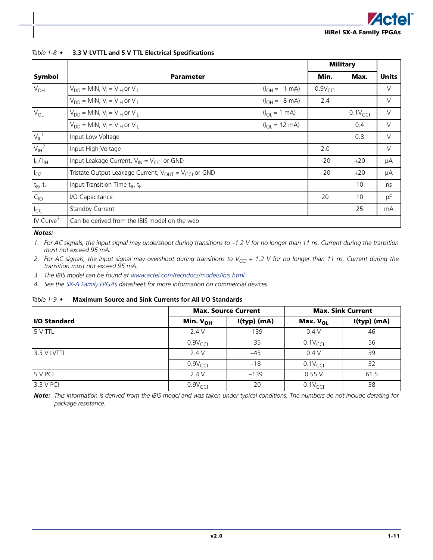<span id="page-14-1"></span><span id="page-14-0"></span>*Table 1-8 •* **3.3 V LVTTL and 5 V TTL Electrical Specifications**

|                       |                                                               |                                   | <b>Military</b>    |                    |              |
|-----------------------|---------------------------------------------------------------|-----------------------------------|--------------------|--------------------|--------------|
| Symbol                | <b>Parameter</b>                                              |                                   | Min.               | Max.               | <b>Units</b> |
| $V_{OH}$              | $V_{DD}$ = MIN, $V_1$ = $V_{IH}$ or $V_{IL}$                  | $(l_{\text{OH}} = -1 \text{ mA})$ | $0.9V_{\text{CC}}$ |                    | V            |
|                       | $V_{DD}$ = MIN, $V_1$ = $V_{IH}$ or $V_{II}$                  | $(I_{OH} = -8$ mA)                | 2.4                |                    | V            |
| $V_{OL}$              | $V_{DD}$ = MIN, $V_I$ = $V_{IH}$ or $V_{IL}$                  | $(I_{OL} = 1$ mA)                 |                    | $0.1V_{\text{CC}}$ | $\vee$       |
|                       | $V_{DD}$ = MIN, $V_1$ = $V_{IH}$ or $V_{II}$                  | $(I_{OL} = 12 \text{ mA})$        |                    | 0.4                | V            |
| $V_{IL}$ <sup>1</sup> | Input Low Voltage                                             |                                   |                    | 0.8                | V            |
| $V_{\text{IH}}^2$     | Input High Voltage                                            |                                   | 2.0                |                    | $\vee$       |
| $I_{IL}/I_{IH}$       | Input Leakage Current, $V_{\text{IN}} = V_{\text{CC}}$ or GND |                                   | $-20$              | $+20$              | μA           |
| $I_{OZ}$              | Tristate Output Leakage Current, $V_{OUT} = V_{CC}$ or GND    |                                   | $-20$              | $+20$              | μA           |
| $t_R$ , $t_F$         | Input Transition Time t <sub>R</sub> , t <sub>F</sub>         |                                   |                    | 10                 | ns           |
| $C_{10}$              | I/O Capacitance                                               |                                   | 20                 | 10                 | pF           |
| $I_{CC}$              | <b>Standby Current</b>                                        |                                   |                    | 25                 | mA           |
| IV Curve <sup>3</sup> | Can be derived from the IBIS model on the web                 |                                   |                    |                    |              |

#### *Notes:*

*1. For AC signals, the input signal may undershoot during transitions to –1.2 V for no longer than 11 ns. Current during the transition must not exceed 95 mA.*

- 2. For AC signals, the input signal may overshoot during transitions to V<sub>CCI</sub> + 1.2 V for no longer than 11 ns. Current during the *transition must not exceed 95 mA.*
- *3. The IBIS model can be found at [www.actel.com/techdocs/models/ibis.html.](http://www.actel.com/techdocs/models/ibis.html)*
- *4. See the [SX-A Family FPGAs](http://www.actel.com/documents/SXA_DS.pdf) datasheet for more information on commercial devices.*

<span id="page-14-2"></span>*Table 1-9 •* **Maximum Source and Sink Currents for All I/O Standards**

|                      |                     | <b>Max. Source Current</b> | <b>Max. Sink Current</b> |             |  |
|----------------------|---------------------|----------------------------|--------------------------|-------------|--|
| <b>II/O Standard</b> | Min. $V_{OH}$       | $I(typ)$ (mA)              | Max. V <sub>OL</sub>     | I(typ) (mA) |  |
| 5 V TTL              | 2.4V                | $-139$                     | 0.4V                     | 46          |  |
|                      | $0.9V_{\text{CCl}}$ | $-35$                      | $0.1V_{\text{CCl}}$      | 56          |  |
| 3.3 V LVTTL          | 2.4V                | $-43$                      | 0.4V                     | 39          |  |
|                      | $0.9V_{\text{CCl}}$ | $-18$                      | $0.1V_{\text{CCl}}$      | 32          |  |
| 5 V PCI              | 2.4V                | $-139$                     | 0.55V                    | 61.5        |  |
| 3.3 V PCI            | $0.9V_{\text{CC}}$  | $-20$                      | $0.1V_{CCI}$             | 38          |  |

*Note: This information is derived from the IBIS model and was taken under typical conditions. The numbers do not include derating for package resistance.*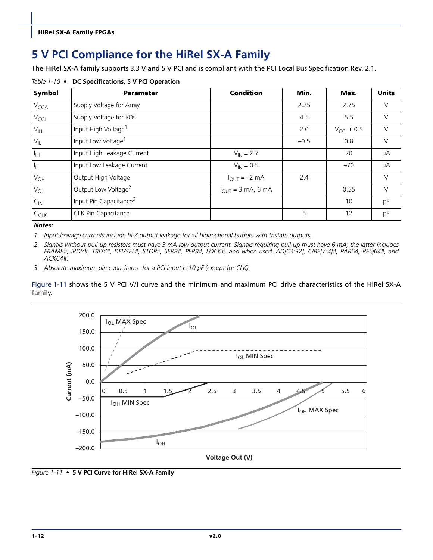# <span id="page-15-0"></span>**5 V PCI Compliance for the HiRel SX-A Family**

The HiRel SX-A family supports 3.3 V and 5 V PCI and is compliant with the PCI Local Bus Specification Rev. 2.1.

<span id="page-15-1"></span>*Table 1-10 •* **DC Specifications, 5 V PCI Operation**

| <b>Symbol</b>    | <b>Parameter</b>                   | <b>Condition</b>                       | Min.   | Max.                   | <b>Units</b> |
|------------------|------------------------------------|----------------------------------------|--------|------------------------|--------------|
| V <sub>CCA</sub> | Supply Voltage for Array           |                                        | 2.25   | 2.75                   | V            |
| $V_{\text{CCI}}$ | Supply Voltage for I/Os            |                                        | 4.5    | 5.5                    | $\vee$       |
| $V_{\text{IH}}$  | Input High Voltage <sup>1</sup>    |                                        | 2.0    | $V_{\text{CCI}} + 0.5$ | $\vee$       |
| $V_{IL}$         | Input Low Voltage <sup>1</sup>     |                                        | $-0.5$ | 0.8                    | $\vee$       |
| $I_{\text{IH}}$  | Input High Leakage Current         | $V_{IN} = 2.7$                         |        | 70                     | μA           |
| $I_{IL}$         | Input Low Leakage Current          | $V_{IN} = 0.5$                         |        | $-70$                  | μA           |
| $V_{OH}$         | Output High Voltage                | $I_{OUT} = -2 mA$                      | 2.4    |                        | $\vee$       |
| $V_{OL}$         | Output Low Voltage <sup>2</sup>    | $I_{\text{OUT}} = 3 \text{ mA}$ , 6 mA |        | 0.55                   | $\vee$       |
| $C_{\text{IN}}$  | Input Pin Capacitance <sup>3</sup> |                                        |        | 10                     | pF           |
| $C_{CLK}$        | <b>CLK Pin Capacitance</b>         |                                        | 5      | 12                     | рF           |

*Notes:*

*1. Input leakage currents include hi-Z output leakage for all bidirectional buffers with tristate outputs.*

*2. Signals without pull-up resistors must have 3 mA low output current. Signals requiring pull-up must have 6 mA; the latter includes FRAME#, IRDY#, TRDY#, DEVSEL#, STOP#, SERR#, PERR#, LOCK#, and when used, AD[63:32], C/BE[7:4]#, PAR64, REQ64#, and ACK64#.*

*3. Absolute maximum pin capacitance for a PCI input is 10 pF (except for CLK).*

[Figure 1-11](#page-15-2) shows the 5 V PCI V/I curve and the minimum and maximum PCI drive characteristics of the HiRel SX-A family.



<span id="page-15-2"></span>*Figure 1-11 •* **5 V PCI Curve for HiRel SX-A Family**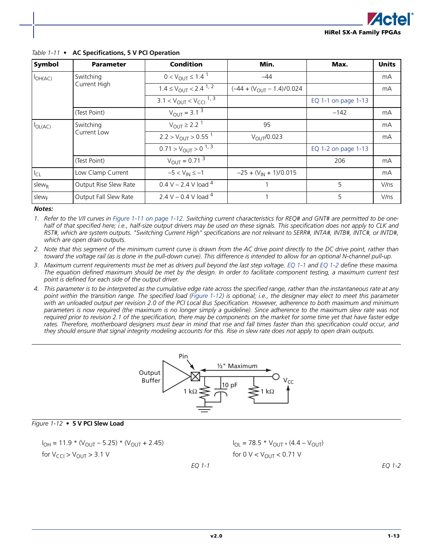| Symbol            | <b>Parameter</b>      | <b>Condition</b>                               | Min.                            | Max.                | <b>Units</b> |
|-------------------|-----------------------|------------------------------------------------|---------------------------------|---------------------|--------------|
| $I_{OH(AC)}$      | Switching             | $0 < V_{\text{OUT}} \leq 1.4$ <sup>1</sup>     | $-44$                           |                     | mA           |
|                   | Current High          | $1.4 \leq V_{\text{OUT}} < 2.4^{1,2}$          | $(-44 + (V_{OUT} - 1.4)/0.024)$ |                     | mA           |
|                   |                       | $3.1 < V_{\text{OUT}} < V_{\text{CCl}}^{-1,3}$ |                                 | EQ 1-1 on page 1-13 |              |
|                   | (Test Point)          | $V_{\text{OUT}} = 3.1^3$                       |                                 | $-142$              | mA           |
| $I_{OL(AC)}$      | Switching             | $V_{\text{OUT}} \geq 2.2^{1}$                  | 95                              |                     | mA           |
|                   | Current Low           | $2.2 > V_{\text{OUT}} > 0.55^{1}$              | $V_{\text{OLIT}}/0.023$         |                     | mA           |
|                   |                       | $0.71 > V_{\text{OUT}} > 0^{1,3}$              |                                 | EQ 1-2 on page 1-13 |              |
|                   | (Test Point)          | $V_{\text{OUT}} = 0.71^{\frac{3}{5}}$          |                                 | 206                 | mA           |
| $I_{CL}$          | Low Clamp Current     | $-5 < V_{IN} \le -1$                           | $-25 + (V_{IN} + 1)/0.015$      |                     | mA           |
| $s$ lew $R$       | Output Rise Slew Rate | 0.4 V – 2.4 V load $4$                         |                                 | 5                   | V/ns         |
| slew <sub>F</sub> | Output Fall Slew Rate | 2.4 V – 0.4 V load $^{4}$                      |                                 | 5                   | V/ns         |

#### *Table 1-11 •* **AC Specifications, 5 V PCI Operation**

#### *Notes:*

*1. Refer to the V/I curves in [Figure 1-11 on page 1-12.](#page-15-2) Switching current characteristics for REQ# and GNT# are permitted to be onehalf of that specified here; i.e., half-size output drivers may be used on these signals. This specification does not apply to CLK and RST#, which are system outputs. "Switching Current High" specifications are not relevant to SERR#, INTA#, INTB#, INTC#, or INTD#, which are open drain outputs.*

*2. Note that this segment of the minimum current curve is drawn from the AC drive point directly to the DC drive point, rather than toward the voltage rail (as is done in the pull-down curve). This difference is intended to allow for an optional N-channel pull-up.*

*3. Maximum current requirements must be met as drivers pull beyond the last step voltage. EQ 1-1 and [EQ 1-2](#page-16-0) define these maxima. The equation defined maximum should be met by the design. In order to facilitate component testing, a maximum current test point is defined for each side of the output driver.*

*4. This parameter is to be interpreted as the cumulative edge rate across the specified range, rather than the instantaneous rate at any point within the transition range. The specified load ([Figure 1-12\)](#page-16-1) is optional; i.e., the designer may elect to meet this parameter with an unloaded output per revision 2.0 of the PCI Local Bus Specification. However, adherence to both maximum and minimum parameters is now required (the maximum is no longer simply a guideline). Since adherence to the maximum slew rate was not required prior to revision 2.1 of the specification, there may be components on the market for some time yet that have faster edge rates. Therefore, motherboard designers must bear in mind that rise and fall times faster than this specification could occur, and they should ensure that signal integrity modeling accounts for this. Rise in slew rate does not apply to open drain outputs.*



#### <span id="page-16-1"></span>*Figure 1-12 •* **5 V PCI Slew Load**

$$
I_{OH} = 11.9 * (V_{OUT} - 5.25) * (V_{OUT} + 2.45)
$$
  
for V<sub>CCI</sub> > V<sub>OUT</sub> > 3.1 V

<span id="page-16-0"></span> $I_{OL}$  = 78.5 \*  $V_{OUT}$  × (4.4 –  $V_{OUT}$ ) for 0  $V < V_{\text{OUT}} < 0.71$  V

*EQ 1-2*

*EQ 1-1*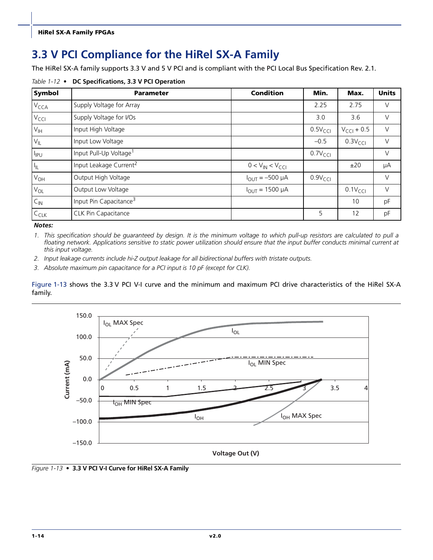# <span id="page-17-0"></span>**3.3 V PCI Compliance for the HiRel SX-A Family**

<span id="page-17-2"></span>The HiRel SX-A family supports 3.3 V and 5 V PCI and is compliant with the PCI Local Bus Specification Rev. 2.1.

*Table 1-12 •* **DC Specifications, 3.3 V PCI Operation**

| Symbol           | <b>Parameter</b>                   | <b>Condition</b>       | Min.                | Max.                   | <b>Units</b> |
|------------------|------------------------------------|------------------------|---------------------|------------------------|--------------|
| V <sub>CCA</sub> | Supply Voltage for Array           |                        | 2.25                | 2.75                   | V            |
| $V_{\text{CCI}}$ | Supply Voltage for I/Os            |                        | 3.0                 | 3.6                    | $\vee$       |
| $V_{\text{IH}}$  | Input High Voltage                 |                        | 0.5V <sub>CCI</sub> | $V_{\text{CCl}} + 0.5$ | $\vee$       |
| $V_{IL}$         | Input Low Voltage                  |                        | $-0.5$              | 0.3V <sub>CCI</sub>    | $\vee$       |
| $I_{IPU}$        | Input Pull-Up Voltage <sup>1</sup> |                        | $0.7V_{\text{CCl}}$ |                        | $\vee$       |
| $I_{IL}$         | Input Leakage Current <sup>2</sup> | $0 < V_{IN} < V_{CCI}$ |                     | ±20                    | μA           |
| $V_{OH}$         | Output High Voltage                | $I_{OUT} = -500 \mu A$ | $0.9V_{\text{CCI}}$ |                        | $\vee$       |
| $V_{OL}$         | Output Low Voltage                 | $I_{OUT} = 1500 \mu A$ |                     | $0.1V_{\text{CC}}$     | $\vee$       |
| $C_{\text{IN}}$  | Input Pin Capacitance <sup>3</sup> |                        |                     | 10                     | pF           |
| $C_{CLK}$        | <b>CLK Pin Capacitance</b>         |                        | 5                   | 12                     | pF           |

*Notes:*

*1. This specification should be guaranteed by design. It is the minimum voltage to which pull-up resistors are calculated to pull a floating network. Applications sensitive to static power utilization should ensure that the input buffer conducts minimal current at this input voltage.*

*2. Input leakage currents include hi-Z output leakage for all bidirectional buffers with tristate outputs.*

*3. Absolute maximum pin capacitance for a PCI input is 10 pF (except for CLK).*

[Figure 1-13](#page-17-1) shows the 3.3 V PCI V-I curve and the minimum and maximum PCI drive characteristics of the HiRel SX-A family.



<span id="page-17-1"></span>*Figure 1-13 •* **3.3 V PCI V-I Curve for HiRel SX-A Family**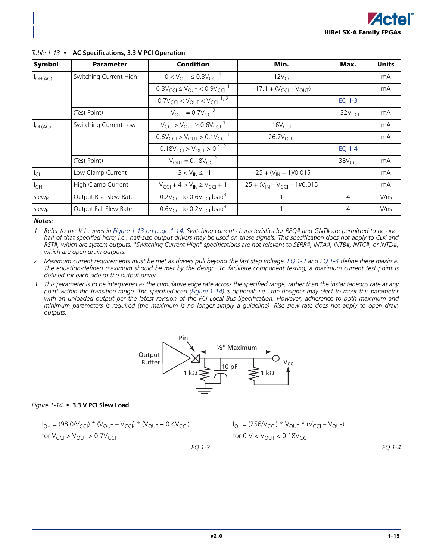

| Symbol            | <b>Parameter</b>       | <b>Condition</b>                                                        | Min.                                        | Max.               | <b>Units</b> |
|-------------------|------------------------|-------------------------------------------------------------------------|---------------------------------------------|--------------------|--------------|
| $I_{OH(AC)}$      | Switching Current High | $0 < V_{\text{OUT}} \leq 0.3 V_{\text{C}}$ <sup>1</sup>                 | $-12VCCI$                                   |                    | mA           |
|                   |                        | $0.3V_{\text{CG}} \leq V_{\text{OUT}} < 0.9V_{\text{CG}}$               | $-17.1 + (V_{\text{CCI}} - V_{\text{OUT}})$ |                    | mA           |
|                   |                        | $0.7V_{\text{CC}} < V_{\text{OUT}} < V_{\text{CC}}$ <sup>1, 2</sup>     |                                             | EQ 1-3             |              |
|                   | (Test Point)           | $V_{\text{OUT}} = 0.7V_{\text{CC}}^2$                                   |                                             | $-32VCCI$          | mA           |
| $I_{OL(AC)}$      | Switching Current Low  | $V_{\text{CCl}}$ > $V_{\text{OUT}}$ ≥ 0.6 $V_{\text{CCl}}$ <sup>1</sup> | 16V <sub>CCI</sub>                          |                    | mA           |
|                   |                        | $0.6V_{\text{CCl}} > V_{\text{OUT}} > 0.1V_{\text{CCl}}^{-1}$           | $26.7V_{\text{OUT}}$                        |                    | mA           |
|                   |                        | $0.18V_{\text{CCl}} > V_{\text{OUT}} > 0^{1,2}$                         |                                             | EQ 1-4             |              |
|                   | (Test Point)           | $V_{\text{OUT}} = 0.18 V_{CC}^{2}$                                      |                                             | 38V <sub>CCI</sub> | mA           |
| $I_{CL}$          | Low Clamp Current      | $-3 < V_{IN} \le -1$                                                    | $-25 + (V_{IN} + 1)/0.015$                  |                    | mA           |
| $I_{CH}$          | High Clamp Current     | $V_{\text{CCl}} + 4 > V_{\text{IN}} \geq V_{\text{CCl}} + 1$            | $25 + (V_{IN} - V_{CCI} - 1)/0.015$         |                    | mA           |
| slew <sub>R</sub> | Output Rise Slew Rate  | 0.2V <sub>CCI</sub> to 0.6V <sub>CCI</sub> load <sup>3</sup>            |                                             | 4                  | V/ns         |
| slew <sub>F</sub> | Output Fall Slew Rate  | $0.6V_{\text{CCl}}$ to $0.2V_{\text{CCl}}$ load <sup>3</sup>            |                                             | $\overline{4}$     | V/ns         |

#### *Table 1-13 •* **AC Specifications, 3.3 V PCI Operation**

#### *Notes:*

*1. Refer to the V-I curves in [Figure 1-13 on page 1-14.](#page-17-1) Switching current characteristics for REQ# and GNT# are permitted to be onehalf of that specified here; i.e., half-size output drivers may be used on these signals. This specification does not apply to CLK and RST#, which are system outputs. "Switching Current High" specifications are not relevant to SERR#, INTA#, INTB#, INTC#, or INTD#, which are open drain outputs.*

*2. Maximum current requirements must be met as drivers pull beyond the last step voltage. EQ 1-3 and [EQ 1-4](#page-18-0) define these maxima. The equation-defined maximum should be met by the design. To facilitate component testing, a maximum current test point is defined for each side of the output driver.*

*3. This parameter is to be interpreted as the cumulative edge rate across the specified range, rather than the instantaneous rate at any point within the transition range. The specified load ([Figure 1-14\)](#page-18-1) is optional; i.e., the designer may elect to meet this parameter with an unloaded output per the latest revision of the PCI Local Bus Specification. However, adherence to both maximum and minimum parameters is required (the maximum is no longer simply a guideline). Rise slew rate does not apply to open drain outputs.*



#### <span id="page-18-1"></span>*Figure 1-14 •* **3.3 V PCI Slew Load**

$$
I_{OH} = (98.0 / V_{CCI}) * (V_{OUT} - V_{CCI}) * (V_{OUT} + 0.4 V_{CCI})
$$
  
for V<sub>CCI</sub> > V<sub>OUT</sub> > 0.7 V<sub>CCI</sub>

<span id="page-18-0"></span>
$$
I_{OL} = (256N_{CCI}) * V_{OUT} * (V_{CCI} - V_{OUT})
$$
  
for 0 V < V<sub>OUT</sub> < 0.18V<sub>CC</sub>

*EQ 1-3*

*EQ 1-4*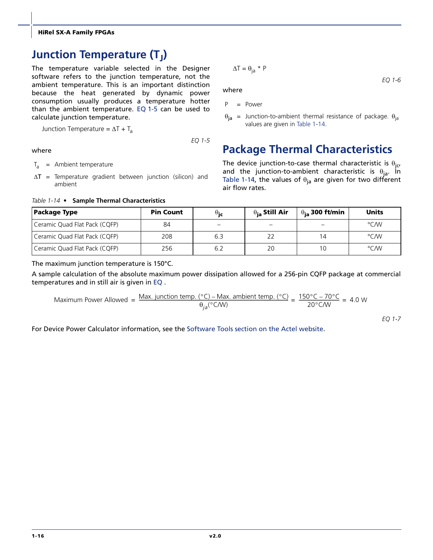# <span id="page-19-0"></span>**Junction Temperature (T<sub>J</sub>)**

The temperature variable selected in the Designer software refers to the junction temperature, not the ambient temperature. This is an important distinction because the heat generated by dynamic power consumption usually produces a temperature hotter than the ambient temperature. [EQ 1-5](#page-19-2) can be used to calculate junction temperature.

Junction Temperature =  $\Delta T + T_a$ 

*EQ 1-5*

#### <span id="page-19-2"></span>where

- $T_a$  = Ambient temperature
- $\Delta T$  = Temperature gradient between junction (silicon) and ambient

<span id="page-19-3"></span>*Table 1-14 •* **Sample Thermal Characteristics**

$$
\Delta T = \theta_{\text{ia}} \star P
$$

where

P = Power

 $\theta_{ia}$  = Junction-to-ambient thermal resistance of package.  $\theta_{ia}$ values are given in [Table 1-14.](#page-19-3)

# <span id="page-19-1"></span>**Package Thermal Characteristics**

The device junction-to-case thermal characteristic is  $\theta_{j\alpha}$ and the junction-to-ambient characteristic is  $\theta_{ia}$ . In [Table 1-14](#page-19-3), the values of  $\theta_{ia}$  are given for two different air flow rates.

| <b>Package Type</b>           | <b>Pin Count</b> | $\theta$ ic | $\theta_{\rm ia}$ Still Air | $\theta_{\mathsf{ia}}$ 300 ft/min | <b>Units</b> |
|-------------------------------|------------------|-------------|-----------------------------|-----------------------------------|--------------|
| Ceramic Quad Flat Pack (CQFP) | 84               |             |                             |                                   | °C/W         |
| Ceramic Quad Flat Pack (CQFP) | 208              | 6.3         | 22                          | 14                                | °C/W         |
| Ceramic Quad Flat Pack (CQFP) | 256              | 6.2         | 20                          |                                   | °C/W         |

The maximum junction temperature is 150°C.

A sample calculation of the absolute maximum power dissipation allowed for a 256-pin CQFP package at commercial temperatures and in still air is given in [EQ](#page-20-1) .

Maximum Power Allowed = 
$$
\frac{\text{Max. junction temp. (^{\circ}C)} - \text{Max. ambient temp. (^{\circ}C)}{\theta_{ja}({^{\circ}C/W})} = \frac{150^{\circ}C - 70^{\circ}C}{20^{\circ}C/W} = 4.0 W
$$

*EQ 1-7*

*EQ 1-6*

For Device Power Calculator information, see the [Software Tools section on the Actel website](http://www.actel.com/products/tools/sw.aspx).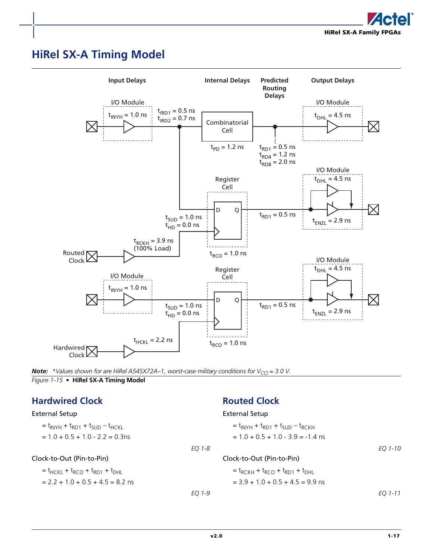

# <span id="page-20-3"></span><span id="page-20-0"></span>**HiRel SX-A Timing Model**



<span id="page-20-2"></span>**Note:** *\*Values shown for are HiRel A54SX72A–1, worst-case military conditions for V<sub>CCI</sub> = 3.0 V. Figure 1-15 •* **HiRel SX-A Timing Model**

# <span id="page-20-4"></span><span id="page-20-1"></span>**Hardwired Clock**

# <span id="page-20-5"></span>**Routed Clock**

| <b>External Setup</b>                     |        | <b>External Setup</b>                                                 |         |
|-------------------------------------------|--------|-----------------------------------------------------------------------|---------|
| $t_{INYH} + t_{RD1} + t_{SUD} - t_{HCKL}$ |        | $t_{\text{INYH}} + t_{\text{RD1}} + t_{\text{SID}} - t_{\text{RCKH}}$ |         |
| $= 1.0 + 0.5 + 1.0 - 2.2 = 0.3$ ns        |        | $= 1.0 + 0.5 + 1.0 - 3.9 = -1.4$ ns                                   |         |
|                                           | EO 1-8 |                                                                       | EO 1-10 |
| Clock-to-Out (Pin-to-Pin)                 |        | Clock-to-Out (Pin-to-Pin)                                             |         |
| $t_{HCKL} + t_{RCO} + t_{RD1} + t_{DHL}$  |        | $t_{RCKH} + t_{RCO} + t_{RD1} + t_{DHL}$                              |         |
| $= 2.2 + 1.0 + 0.5 + 4.5 = 8.2$ ns        |        | $=$ 3.9 + 1.0 + 0.5 + 4.5 = 9.9 ns                                    |         |
|                                           | EO 1-9 |                                                                       | EO 1-11 |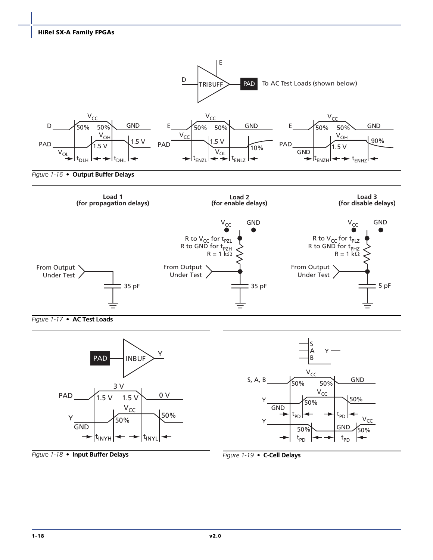



*Figure 1-19 •* **C-Cell Delays**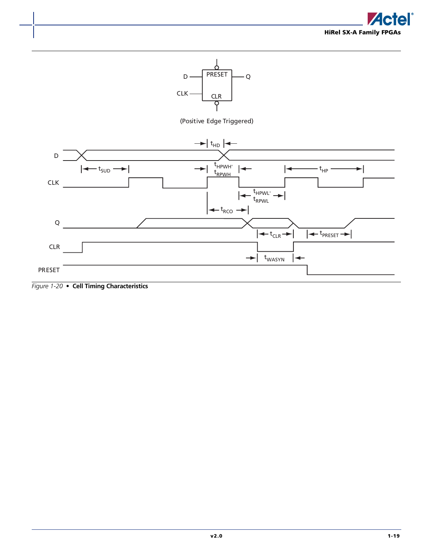



*Figure 1-20 •* **Cell Timing Characteristics**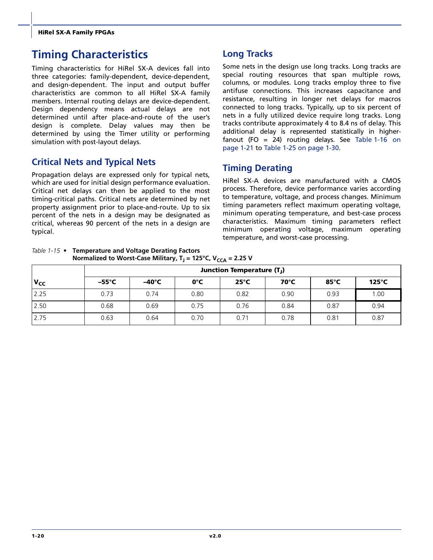# <span id="page-23-0"></span>**Timing Characteristics**

Timing characteristics for HiRel SX-A devices fall into three categories: family-dependent, device-dependent, and design-dependent. The input and output buffer characteristics are common to all HiRel SX-A family members. Internal routing delays are device-dependent. Design dependency means actual delays are not determined until after place-and-route of the user's design is complete. Delay values may then be determined by using the Timer utility or performing simulation with post-layout delays.

# **Critical Nets and Typical Nets**

Propagation delays are expressed only for typical nets, which are used for initial design performance evaluation. Critical net delays can then be applied to the most timing-critical paths. Critical nets are determined by net property assignment prior to place-and-route. Up to six percent of the nets in a design may be designated as critical, whereas 90 percent of the nets in a design are typical.

# **Long Tracks**

Some nets in the design use long tracks. Long tracks are special routing resources that span multiple rows, columns, or modules. Long tracks employ three to five antifuse connections. This increases capacitance and resistance, resulting in longer net delays for macros connected to long tracks. Typically, up to six percent of nets in a fully utilized device require long tracks. Long tracks contribute approximately 4 to 8.4 ns of delay. This additional delay is represented statistically in higherfanout (FO = 24) routing delays. See [Table 1-16 on](#page-24-0) [page 1-21](#page-24-0) to [Table 1-25 on page 1-30](#page-33-0).

# **Timing Derating**

HiRel SX-A devices are manufactured with a CMOS process. Therefore, device performance varies according to temperature, voltage, and process changes. Minimum timing parameters reflect maximum operating voltage, minimum operating temperature, and best-case process characteristics. Maximum timing parameters reflect minimum operating voltage, maximum operating temperature, and worst-case processing.

*Table 1-15 •* **Temperature and Voltage Derating Factors Normalized to Worst-Case Military, T<sub>J</sub> = 125°C, V<sub>CCA</sub> = 2.25 V** 

|          |       | Junction Temperature (T <sub>I</sub> ) |      |                |      |                 |               |  |  |  |
|----------|-------|----------------------------------------|------|----------------|------|-----------------|---------------|--|--|--|
| $V_{CC}$ | –55°C | $-40^{\circ}$ C                        | 0°C  | $25^{\circ}$ C | 70°C | 85 $^{\circ}$ C | $125^\circ C$ |  |  |  |
| 2.25     | 0.73  | 0.74                                   | 0.80 | 0.82           | 0.90 | 0.93            | 1.00          |  |  |  |
| 2.50     | 0.68  | 0.69                                   | 0.75 | 0.76           | 0.84 | 0.87            | 0.94          |  |  |  |
| 2.75     | 0.63  | 0.64                                   | 0.70 | 0.71           | 0.78 | 0.81            | 0.87          |  |  |  |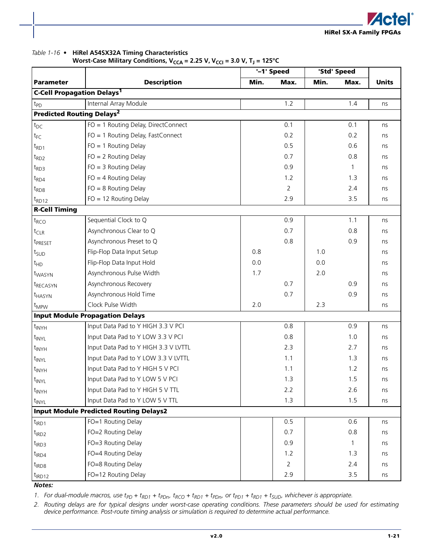#### <span id="page-24-0"></span>*Table 1-16 •* **HiRel A54SX32A Timing Characteristics**

**Worst-Case Military Conditions, V<sub>CCA</sub> = 2.25 V, V<sub>CCI</sub> = 3.0 V, T<sub>J</sub> = 125°C** 

|                                              |                                               |      | '-1' Speed     |      | 'Std' Speed  |              |
|----------------------------------------------|-----------------------------------------------|------|----------------|------|--------------|--------------|
| <b>Parameter</b>                             | <b>Description</b>                            | Min. | Max.           | Min. | Max.         | <b>Units</b> |
| <b>C-Cell Propagation Delays<sup>1</sup></b> |                                               |      |                |      |              |              |
| t <sub>PD</sub>                              | Internal Array Module                         |      | 1.2            |      | 1.4          | ns           |
| <b>Predicted Routing Delays<sup>2</sup></b>  |                                               |      |                |      |              |              |
| $t_{DC}$                                     | FO = 1 Routing Delay, DirectConnect           |      | 0.1            |      | 0.1          | ns           |
| $t_{FC}$                                     | FO = 1 Routing Delay, FastConnect             |      | 0.2            |      | 0.2          | ns           |
| $t_{RD1}$                                    | $FO = 1$ Routing Delay                        |      | 0.5            |      | 0.6          | ns           |
| $t_{RD2}$                                    | $FO = 2$ Routing Delay                        |      | 0.7            |      | 0.8          | ns           |
| $t_{RD3}$                                    | $FO = 3$ Routing Delay                        |      | 0.9            |      | $\mathbf{1}$ | ns           |
| $t_{RD4}$                                    | $FO = 4$ Routing Delay                        |      | 1.2            |      | 1.3          | ns           |
| $t_{RDS}$                                    | $FO = 8$ Routing Delay                        |      | $\overline{2}$ |      | 2.4          | ns           |
| $t_{RD12}$                                   | $FO = 12$ Routing Delay                       |      | 2.9            |      | 3.5          | ns           |
| <b>R-Cell Timing</b>                         |                                               |      |                |      |              |              |
| $t_{RCO}$                                    | Sequential Clock to Q                         |      | 0.9            |      | 1.1          | ns           |
| $t_{CLR}$                                    | Asynchronous Clear to Q                       |      | 0.7            |      | 0.8          | ns           |
| t <sub>PRESET</sub>                          | Asynchronous Preset to Q                      |      | 0.8            |      | 0.9          | ns           |
| t <sub>SUD</sub>                             | Flip-Flop Data Input Setup                    | 0.8  |                | 1.0  |              | ns           |
| $t_{HD}$                                     | Flip-Flop Data Input Hold                     | 0.0  |                | 0.0  |              | ns           |
| t <sub>WASYN</sub>                           | Asynchronous Pulse Width                      | 1.7  |                | 2.0  |              | ns           |
| t <sub>RECASYN</sub>                         | Asynchronous Recovery                         |      | 0.7            |      | 0.9          | ns           |
| t <sub>HASYN</sub>                           | Asynchronous Hold Time                        |      | 0.7            |      | 0.9          | ns           |
| $t_{MPW}$                                    | Clock Pulse Width                             | 2.0  |                | 2.3  |              | ns           |
|                                              | <b>Input Module Propagation Delays</b>        |      |                |      |              |              |
| $t_{\text{INYH}}$                            | Input Data Pad to Y HIGH 3.3 V PCI            |      | 0.8            |      | 0.9          | ns           |
| t <sub>INYL</sub>                            | Input Data Pad to Y LOW 3.3 V PCI             |      | 0.8            |      | 1.0          | ns           |
| t <sub>INYH</sub>                            | Input Data Pad to Y HIGH 3.3 V LVTTL          |      | 2.3            |      | 2.7          | ns           |
| t <sub>INYL</sub>                            | Input Data Pad to Y LOW 3.3 V LVTTL           |      | 1.1            |      | 1.3          | ns           |
| t <sub>INYH</sub>                            | Input Data Pad to Y HIGH 5 V PCI              |      | 1.1            |      | 1.2          | ns           |
| $t_{\text{INV}L}$                            | Input Data Pad to Y LOW 5 V PCI               |      | 1.3            |      | 1.5          | ns           |
| $t_{\text{INYH}}$                            | Input Data Pad to Y HIGH 5 V TTL              |      | 2.2            |      | 2.6          | ns           |
| t <sub>INYL</sub>                            | Input Data Pad to Y LOW 5 V TTL               |      | 1.3            |      | 1.5          | ns           |
|                                              | <b>Input Module Predicted Routing Delays2</b> |      |                |      |              |              |
| $t_{IRD1}$                                   | FO=1 Routing Delay                            |      | 0.5            |      | 0.6          | ns           |
| $t_{IRD2}$                                   | FO=2 Routing Delay                            |      | 0.7            |      | 0.8          | ns           |
| $t_{IRD3}$                                   | FO=3 Routing Delay                            |      | 0.9            |      | $\mathbf{1}$ | ns           |
| $t_{IRD4}$                                   | FO=4 Routing Delay                            |      | 1.2            |      | 1.3          | ns           |
| $t_{IRD8}$                                   | FO=8 Routing Delay                            |      | 2              |      | 2.4          | ns           |
| $t_{IRD12}$                                  | FO=12 Routing Delay                           |      | 2.9            |      | 3.5          | ns           |

*Notes:*

1. For dual-module macros, use  $t_{PD}$  +  $t_{RD1}$  +  $t_{PDn}$ ,  $t_{RCD}$  +  $t_{RD1}$  +  $t_{PD1}$  +  $t_{RD1}$  +  $t_{SUD}$ , whichever is appropriate.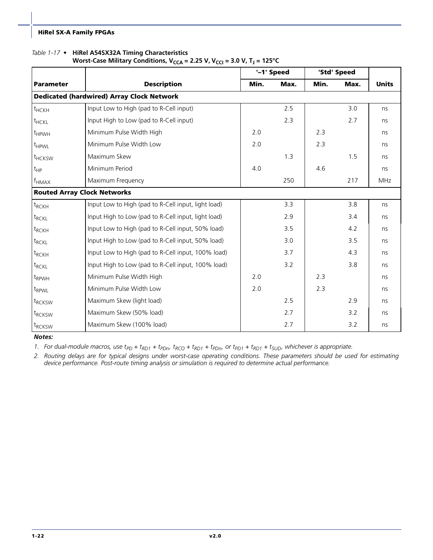#### *Table 1-17 •* **HiRel A54SX32A Timing Characteristics**

#### **Worst-Case Military Conditions, V<sub>CCA</sub> = 2.25 V, V<sub>CCI</sub> = 3.0 V, T<sub>J</sub> = 125°C**

|                                    |                                                     |      | '-1' Speed |      | 'Std' Speed |              |
|------------------------------------|-----------------------------------------------------|------|------------|------|-------------|--------------|
| <b>Parameter</b>                   | <b>Description</b>                                  | Min. | Max.       | Min. | Max.        | <b>Units</b> |
|                                    | <b>Dedicated (hardwired) Array Clock Network</b>    |      |            |      |             |              |
| $t$ <sub>HCKH</sub>                | Input Low to High (pad to R-Cell input)             |      | 2.5        |      | 3.0         | ns           |
| t <sub>HCKL</sub>                  | Input High to Low (pad to R-Cell input)             |      | 2.3        |      | 2.7         | ns           |
| t <sub>HPWH</sub>                  | Minimum Pulse Width High                            | 2.0  |            | 2.3  |             | ns           |
| t <sub>HPWL</sub>                  | Minimum Pulse Width Low                             | 2.0  |            | 2.3  |             | ns           |
| t <sub>HCKSW</sub>                 | Maximum Skew                                        |      | 1.3        |      | 1.5         | ns           |
| $t_{HP}$                           | Minimum Period                                      | 4.0  |            | 4.6  |             | ns           |
| $f_{HMAX}$                         | Maximum Frequency                                   |      | 250        |      | 217         | <b>MHz</b>   |
| <b>Routed Array Clock Networks</b> |                                                     |      |            |      |             |              |
| $t_{RCKH}$                         | Input Low to High (pad to R-Cell input, light load) |      | 3.3        |      | 3.8         | ns           |
| $t_{RCKL}$                         | Input High to Low (pad to R-Cell input, light load) |      | 2.9        |      | 3.4         | ns           |
| t <sub>RCKH</sub>                  | Input Low to High (pad to R-Cell input, 50% load)   |      | 3.5        |      | 4.2         | ns           |
| t <sub>RCKL</sub>                  | Input High to Low (pad to R-Cell input, 50% load)   |      | 3.0        |      | 3.5         | ns           |
| t <sub>RCKH</sub>                  | Input Low to High (pad to R-Cell input, 100% load)  |      | 3.7        |      | 4.3         | ns           |
| $t_{RCKL}$                         | Input High to Low (pad to R-Cell input, 100% load)  |      | 3.2        |      | 3.8         | ns           |
| t <sub>RPWH</sub>                  | Minimum Pulse Width High                            | 2.0  |            | 2.3  |             | ns           |
| t <sub>RPWL</sub>                  | Minimum Pulse Width Low                             | 2.0  |            | 2.3  |             | ns           |
| t <sub>RCKSW</sub>                 | Maximum Skew (light load)                           |      | 2.5        |      | 2.9         | ns           |
| t <sub>RCKSW</sub>                 | Maximum Skew (50% load)                             |      | 2.7        |      | 3.2         | ns           |
| t <sub>RCKSW</sub>                 | Maximum Skew (100% load)                            |      | 2.7        |      | 3.2         | ns           |

*Notes:*

1. For dual-module macros, use  $t_{PD}$  +  $t_{RD1}$  +  $t_{PDn}$ ,  $t_{RCD}$  +  $t_{RD1}$  +  $t_{PD1}$  +  $t_{RD1}$  +  $t_{SUD}$ , whichever is appropriate.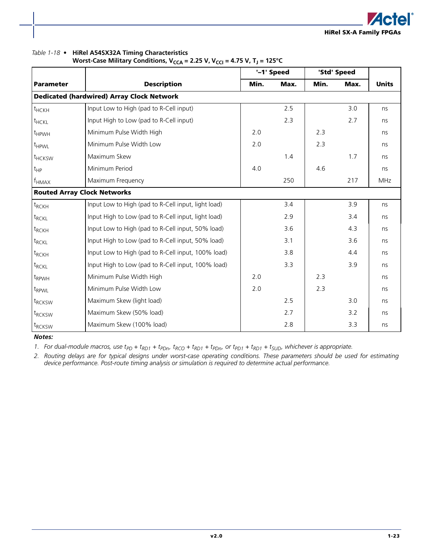#### *Table 1-18 •* **HiRel A54SX32A Timing Characteristics**

Worst-Case Military Conditions, V<sub>CCA</sub> = 2.25 V, V<sub>CCI</sub> = 4.75 V, T<sub>J</sub> = 125°C

|                    |                                                     | '-1' Speed<br>'Std' Speed |      |      |      |              |
|--------------------|-----------------------------------------------------|---------------------------|------|------|------|--------------|
| <b>Parameter</b>   | <b>Description</b>                                  | Min.                      | Max. | Min. | Max. | <b>Units</b> |
|                    | <b>Dedicated (hardwired) Array Clock Network</b>    |                           |      |      |      |              |
| t <sub>HCKH</sub>  | Input Low to High (pad to R-Cell input)             |                           | 2.5  |      | 3.0  | ns           |
| t <sub>HCKL</sub>  | Input High to Low (pad to R-Cell input)             |                           | 2.3  |      | 2.7  | ns           |
| t <sub>HPWH</sub>  | Minimum Pulse Width High                            | 2.0                       |      | 2.3  |      | ns           |
| $t_{HPWL}$         | Minimum Pulse Width Low                             | 2.0                       |      | 2.3  |      | ns           |
| t <sub>HCKSW</sub> | Maximum Skew                                        |                           | 1.4  |      | 1.7  | ns           |
| $t_{HP}$           | Minimum Period                                      | 4.0                       |      | 4.6  |      | ns           |
| $f_{HMAX}$         | Maximum Frequency                                   |                           | 250  |      | 217  | <b>MHz</b>   |
|                    | <b>Routed Array Clock Networks</b>                  |                           |      |      |      |              |
| $t_{RCKH}$         | Input Low to High (pad to R-Cell input, light load) |                           | 3.4  |      | 3.9  | ns           |
| t <sub>RCKL</sub>  | Input High to Low (pad to R-Cell input, light load) |                           | 2.9  |      | 3.4  | ns           |
| $t_{RCKH}$         | Input Low to High (pad to R-Cell input, 50% load)   |                           | 3.6  |      | 4.3  | ns           |
| t <sub>RCKL</sub>  | Input High to Low (pad to R-Cell input, 50% load)   |                           | 3.1  |      | 3.6  | ns           |
| t <sub>RCKH</sub>  | Input Low to High (pad to R-Cell input, 100% load)  |                           | 3.8  |      | 4.4  | ns           |
| $t_{RCKL}$         | Input High to Low (pad to R-Cell input, 100% load)  |                           | 3.3  |      | 3.9  | ns           |
| t <sub>RPWH</sub>  | Minimum Pulse Width High                            | 2.0                       |      | 2.3  |      | ns           |
| t <sub>RPWL</sub>  | Minimum Pulse Width Low                             | 2.0                       |      | 2.3  |      | ns           |
| t <sub>RCKSW</sub> | Maximum Skew (light load)                           |                           | 2.5  |      | 3.0  | ns           |
| t <sub>RCKSW</sub> | Maximum Skew (50% load)                             |                           | 2.7  |      | 3.2  | ns           |
| t <sub>RCKSW</sub> | Maximum Skew (100% load)                            |                           | 2.8  |      | 3.3  | ns           |

*Notes:*

1. For dual-module macros, use  $t_{PD}$  +  $t_{RD1}$  +  $t_{PDn}$ ,  $t_{RCD}$  +  $t_{RD1}$  +  $t_{PD1}$  +  $t_{RD1}$  +  $t_{SUD}$ , whichever is appropriate.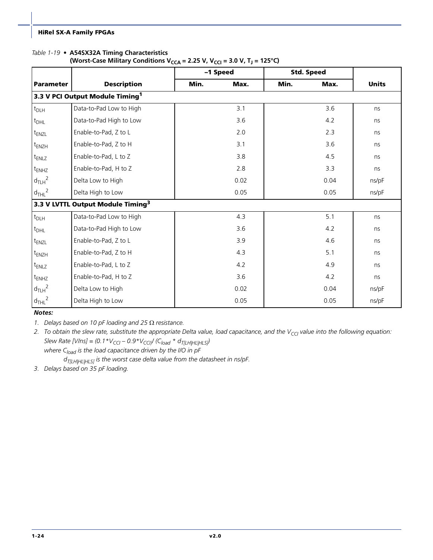#### *Table 1-19 •* **A54SX32A Timing Characteristics**

| (Worst-Case Military Conditions $V_{CCA}$ = 2.25 V, $V_{CG}$ = 3.0 V, T <sub>J</sub> = 125 °C) |  |  |
|------------------------------------------------------------------------------------------------|--|--|
|------------------------------------------------------------------------------------------------|--|--|

|                   |                                               | -1 Speed |      |      | <b>Std. Speed</b> |              |
|-------------------|-----------------------------------------------|----------|------|------|-------------------|--------------|
| <b>Parameter</b>  | <b>Description</b>                            | Min.     | Max. | Min. | Max.              | <b>Units</b> |
|                   | 3.3 V PCI Output Module Timing <sup>1</sup>   |          |      |      |                   |              |
| $t_{DLH}$         | Data-to-Pad Low to High                       |          | 3.1  |      | 3.6               | ns           |
| $t_{DHL}$         | Data-to-Pad High to Low                       |          | 3.6  |      | 4.2               | ns           |
| t <sub>ENZL</sub> | Enable-to-Pad, Z to L                         |          | 2.0  |      | 2.3               | ns           |
| $t_{ENZH}$        | Enable-to-Pad, Z to H                         |          | 3.1  |      | 3.6               | ns           |
| $t_{ENLZ}$        | Enable-to-Pad, L to Z                         |          | 3.8  |      | 4.5               | ns           |
| $t_{ENHZ}$        | Enable-to-Pad, H to Z                         |          | 2.8  |      | 3.3               | ns           |
| $d_{TLH}^2$       | Delta Low to High                             |          | 0.02 |      | 0.04              | ns/pF        |
| $d_{THL}^2$       | Delta High to Low                             |          | 0.05 |      | 0.05              | ns/pF        |
|                   | 3.3 V LVTTL Output Module Timing <sup>3</sup> |          |      |      |                   |              |
| $t_{D L H}$       | Data-to-Pad Low to High                       |          | 4.3  |      | 5.1               | ns           |
| $t_{DHL}$         | Data-to-Pad High to Low                       |          | 3.6  |      | 4.2               | ns           |
| $t_{ENZL}$        | Enable-to-Pad, Z to L                         |          | 3.9  |      | 4.6               | ns           |
| $t_{ENZH}$        | Enable-to-Pad, Z to H                         |          | 4.3  |      | 5.1               | ns           |
| t <sub>ENLZ</sub> | Enable-to-Pad, L to Z                         |          | 4.2  |      | 4.9               | ns           |
| $t_{ENHZ}$        | Enable-to-Pad, H to Z                         |          | 3.6  |      | 4.2               | ns           |
| $d_{TLH}^2$       | Delta Low to High                             |          | 0.02 |      | 0.04              | ns/pF        |
| $d_{THL}^2$       | Delta High to Low                             |          | 0.05 |      | 0.05              | ns/pF        |

*Notes:*

*1. Delays based on 10 pF loading and 25* Ω *resistance.*

2. To obtain the slew rate, substitute the appropriate Delta value, load capacitance, and the V<sub>CCI</sub> value into the following equation: *Slew Rate [VIns]* =  $(0.1 * V_{CG} - 0.9 * V_{CG}) / (C_{load} * d_{T[LH|HL|HLS})$ 

where C<sub>load</sub> is the load capacitance driven by the I/O in pF *dT[LH|HL|HLS] is the worst case delta value from the datasheet in ns/pF.*

*3. Delays based on 35 pF loading.*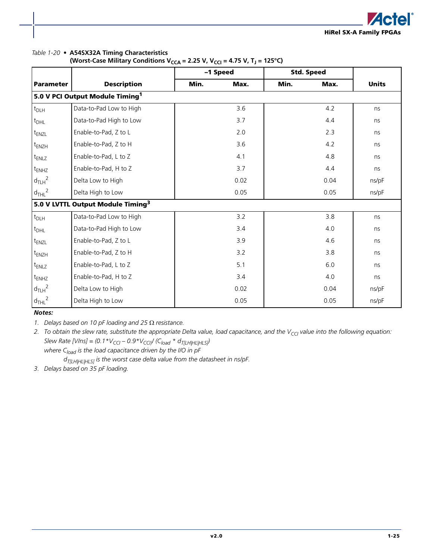

#### *Table 1-20 •* **A54SX32A Timing Characteristics**

| (Worst-Case Military Conditions V <sub>CCA</sub> = 2.25 V, V <sub>CCI</sub> = 4.75 V, T <sub>J</sub> = 125°C) |  |  |  |
|---------------------------------------------------------------------------------------------------------------|--|--|--|
|---------------------------------------------------------------------------------------------------------------|--|--|--|

|                   |                                               |      | -1 Speed |      | <b>Std. Speed</b> |              |
|-------------------|-----------------------------------------------|------|----------|------|-------------------|--------------|
| <b>Parameter</b>  | <b>Description</b>                            | Min. | Max.     | Min. | Max.              | <b>Units</b> |
|                   | 5.0 V PCI Output Module Timing <sup>1</sup>   |      |          |      |                   |              |
| $t_{DLH}$         | Data-to-Pad Low to High                       |      | 3.6      |      | 4.2               | ns           |
| $t_{DHL}$         | Data-to-Pad High to Low                       |      | 3.7      |      | 4.4               | ns           |
| $t_{ENZL}$        | Enable-to-Pad, Z to L                         |      | 2.0      |      | 2.3               | ns           |
| $t_{ENZH}$        | Enable-to-Pad, Z to H                         |      | 3.6      |      | 4.2               | ns           |
| t <sub>ENLZ</sub> | Enable-to-Pad, L to Z                         |      | 4.1      |      | 4.8               | ns           |
| $t_{ENHZ}$        | Enable-to-Pad, H to Z                         |      | 3.7      |      | 4.4               | ns           |
| $d_{TLH}^2$       | Delta Low to High                             |      | 0.02     |      | 0.04              | ns/pF        |
| $d_{THL}^2$       | Delta High to Low                             |      | 0.05     |      | 0.05              | ns/pF        |
|                   | 5.0 V LVTTL Output Module Timing <sup>3</sup> |      |          |      |                   |              |
| $t_{DLH}$         | Data-to-Pad Low to High                       |      | 3.2      |      | 3.8               | ns           |
| $t_{DHL}$         | Data-to-Pad High to Low                       |      | 3.4      |      | 4.0               | ns           |
| t <sub>ENZL</sub> | Enable-to-Pad, Z to L                         |      | 3.9      |      | 4.6               | ns           |
| $t_{ENZH}$        | Enable-to-Pad, Z to H                         |      | 3.2      |      | 3.8               | ns           |
| $t_{ENLZ}$        | Enable-to-Pad, L to Z                         |      | 5.1      |      | 6.0               | ns           |
| $t_{ENHZ}$        | Enable-to-Pad, H to Z                         |      | 3.4      |      | 4.0               | ns           |
| $d_{TLH}^2$       | Delta Low to High                             |      | 0.02     |      | 0.04              | ns/pF        |
| $d_{THL}^2$       | Delta High to Low                             |      | 0.05     |      | 0.05              | ns/pF        |

*Notes:*

*1. Delays based on 10 pF loading and 25* Ω *resistance.*

2. To obtain the slew rate, substitute the appropriate Delta value, load capacitance, and the V<sub>CCI</sub> value into the following equation: *Slew Rate [VIns]* =  $(0.1 * V_{CG} - 0.9 * V_{CG}) / (C_{load} * d_{T[LH|HL|HLS})$ 

where C<sub>load</sub> is the load capacitance driven by the I/O in pF *dT[LH|HL|HLS] is the worst case delta value from the datasheet in ns/pF.*

*3. Delays based on 35 pF loading.*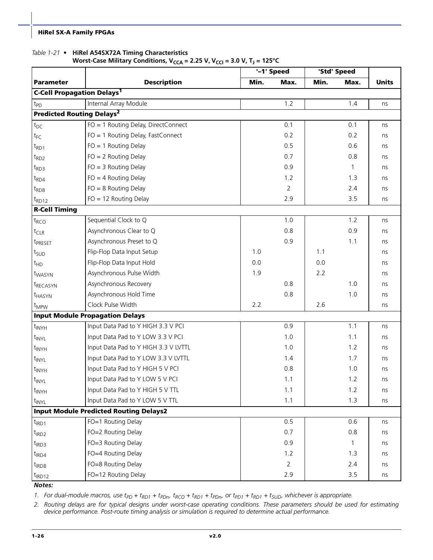#### *Table 1-21 •* **HiRel A54SX72A Timing Characteristics**

**Worst-Case Military Conditions, V<sub>CCA</sub> = 2.25 V, V<sub>CCI</sub> = 3.0 V, T<sub>J</sub> = 125°C** 

|                                              |                                               |      | $-1$ ' Speed |      | 'Std' Speed |              |
|----------------------------------------------|-----------------------------------------------|------|--------------|------|-------------|--------------|
| <b>Parameter</b>                             | <b>Description</b>                            | Min. | Max.         | Min. | Max.        | <b>Units</b> |
| <b>C-Cell Propagation Delays<sup>1</sup></b> |                                               |      |              |      |             |              |
| t <sub>PD</sub>                              | Internal Array Module                         |      | 1.2          |      | 1.4         | ns           |
| <b>Predicted Routing Delays<sup>2</sup></b>  |                                               |      |              |      |             |              |
| $t_{DC}$                                     | FO = 1 Routing Delay, DirectConnect           |      | 0.1          |      | 0.1         | ns           |
| $t_{FC}$                                     | FO = 1 Routing Delay, FastConnect             |      | 0.2          |      | 0.2         | ns           |
| $t_{RD1}$                                    | $FO = 1$ Routing Delay                        |      | 0.5          |      | 0.6         | ns           |
| $t_{RD2}$                                    | $FO = 2$ Routing Delay                        |      | 0.7          |      | 0.8         | ns           |
| $t_{RD3}$                                    | $FO = 3$ Routing Delay                        |      | 0.9          |      | 1           | ns           |
| $t_{RD4}$                                    | $FO = 4$ Routing Delay                        |      | 1.2          |      | 1.3         | ns           |
| $t_{RDS}$                                    | $FO = 8$ Routing Delay                        |      | 2            |      | 2.4         | ns           |
| $t_{RD12}$                                   | $FO = 12$ Routing Delay                       |      | 2.9          |      | 3.5         | ns           |
| <b>R-Cell Timing</b>                         |                                               |      |              |      |             |              |
| $t_{RCO}$                                    | Sequential Clock to Q                         |      | 1.0          |      | 1.2         | ns           |
| $t_{CLR}$                                    | Asynchronous Clear to Q                       |      | 0.8          |      | 0.9         | ns           |
| t <sub>PRESET</sub>                          | Asynchronous Preset to Q                      |      | 0.9          |      | 1.1         | ns           |
| t <sub>SUD</sub>                             | Flip-Flop Data Input Setup                    | 1.0  |              | 1.1  |             | ns           |
| $t_{HD}$                                     | Flip-Flop Data Input Hold                     | 0.0  |              | 0.0  |             | ns           |
| t <sub>WASYN</sub>                           | Asynchronous Pulse Width                      | 1.9  |              | 2.2  |             | ns           |
| t <sub>RECASYN</sub>                         | Asynchronous Recovery                         |      | 0.8          |      | 1.0         | ns           |
| t <sub>HASYN</sub>                           | Asynchronous Hold Time                        |      | 0.8          |      | 1.0         | ns           |
| $t_{MPW}$                                    | Clock Pulse Width                             | 2.2  |              | 2.6  |             | ns           |
|                                              | <b>Input Module Propagation Delays</b>        |      |              |      |             |              |
| $t_{\text{INVH}}$                            | Input Data Pad to Y HIGH 3.3 V PCI            |      | 0.9          |      | 1.1         | ns           |
| t <sub>INYL</sub>                            | Input Data Pad to Y LOW 3.3 V PCI             |      | 1.0          |      | 1.1         | ns           |
| $t_{\text{INYH}}$                            | Input Data Pad to Y HIGH 3.3 V LVTTL          |      | 1.0          |      | 1.2         | ns           |
| t <sub>INYL</sub>                            | Input Data Pad to Y LOW 3.3 V LVTTL           |      | 1.4          |      | 1.7         | ns           |
| $t_{\text{INYH}}$                            | Input Data Pad to Y HIGH 5 V PCI              |      | 0.8          |      | 1.0         | ns           |
| t <sub>INYL</sub>                            | Input Data Pad to Y LOW 5 V PCI               |      | 1.1          |      | 1.2         | ns           |
| $t_{\text{INVH}}$                            | Input Data Pad to Y HIGH 5 V TTL              |      | 1.1          |      | 1.2         | ns           |
| t <sub>INYL</sub>                            | Input Data Pad to Y LOW 5 V TTL               |      | 1.1          |      | 1.3         | ns           |
|                                              | <b>Input Module Predicted Routing Delays2</b> |      |              |      |             |              |
| $t_{IRD1}$                                   | FO=1 Routing Delay                            |      | 0.5          |      | 0.6         | ns           |
| $t_{IRD2}$                                   | FO=2 Routing Delay                            |      | 0.7          |      | 0.8         | ns           |
| $t_{IRD3}$                                   | FO=3 Routing Delay                            |      | 0.9          |      | -1          | ns           |
| $t_{IRD4}$                                   | FO=4 Routing Delay                            |      | 1.2          |      | 1.3         | ns           |
| $t_{IRD8}$                                   | FO=8 Routing Delay                            |      | 2            |      | 2.4         | ns           |
| $t_{IRD12}$                                  | FO=12 Routing Delay                           |      | 2.9          |      | 3.5         | ns           |

*Notes:*

1. For dual-module macros, use  $t_{PD}$  +  $t_{RD1}$  +  $t_{PDn}$ ,  $t_{RCD}$  +  $t_{RD1}$  +  $t_{PD1}$  +  $t_{RD1}$  +  $t_{SUD}$ , whichever is appropriate.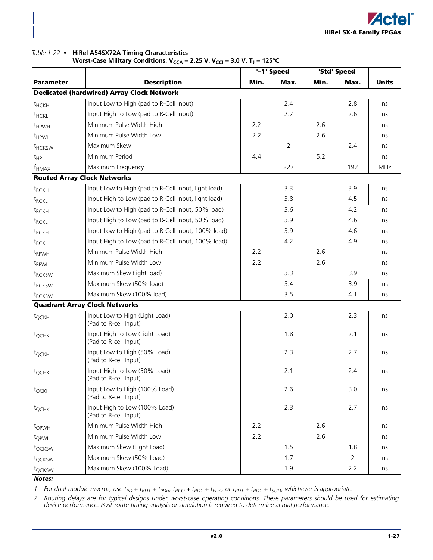

#### *Table 1-22 •* **HiRel A54SX72A Timing Characteristics**

**Worst-Case Military Conditions,**  $V_{CCA} = 2.25$  **V,**  $V_{CG} = 3.0$  **V, T<sub>J</sub> = 125°C** 

|                     |                                                         |      | '-1' Speed     |      | 'Std' Speed    |              |
|---------------------|---------------------------------------------------------|------|----------------|------|----------------|--------------|
| <b>Parameter</b>    | <b>Description</b>                                      | Min. | Max.           | Min. | Max.           | <b>Units</b> |
|                     | <b>Dedicated (hardwired) Array Clock Network</b>        |      |                |      |                |              |
| $t$ <sub>HCKH</sub> | Input Low to High (pad to R-Cell input)                 |      | 2.4            |      | 2.8            | ns           |
| t <sub>HCKL</sub>   | Input High to Low (pad to R-Cell input)                 |      | 2.2            |      | 2.6            | ns           |
| t <sub>HPWH</sub>   | Minimum Pulse Width High                                | 2.2  |                | 2.6  |                | ns           |
| t <sub>HPWL</sub>   | Minimum Pulse Width Low                                 | 2.2  |                | 2.6  |                | ns           |
| t <sub>HCKSW</sub>  | Maximum Skew                                            |      | $\overline{2}$ |      | 2.4            | ns           |
| t <sub>HP</sub>     | Minimum Period                                          | 4.4  |                | 5.2  |                | ns           |
| f <sub>нмах</sub>   | Maximum Frequency                                       |      | 227            |      | 192            | MHz          |
|                     | <b>Routed Array Clock Networks</b>                      |      |                |      |                |              |
| $t_{RCKH}$          | Input Low to High (pad to R-Cell input, light load)     |      | 3.3            |      | 3.9            | ns           |
| $t_{RCKL}$          | Input High to Low (pad to R-Cell input, light load)     |      | 3.8            |      | 4.5            | ns           |
| $t_{RCKH}$          | Input Low to High (pad to R-Cell input, 50% load)       |      | 3.6            |      | 4.2            | ns           |
| $t_{RCKL}$          | Input High to Low (pad to R-Cell input, 50% load)       |      | 3.9            |      | 4.6            | ns           |
| t <sub>RCKH</sub>   | Input Low to High (pad to R-Cell input, 100% load)      |      | 3.9            |      | 4.6            | ns           |
| $t_{RCKL}$          | Input High to Low (pad to R-Cell input, 100% load)      |      | 4.2            |      | 4.9            | ns           |
| t <sub>RPWH</sub>   | Minimum Pulse Width High                                | 2.2  |                | 2.6  |                | ns           |
| t <sub>RPWL</sub>   | Minimum Pulse Width Low                                 | 2.2  |                | 2.6  |                | ns           |
| t <sub>RCKSW</sub>  | Maximum Skew (light load)                               |      | 3.3            |      | 3.9            | ns           |
| t <sub>RCKSW</sub>  | Maximum Skew (50% load)                                 |      | 3.4            |      | 3.9            | ns           |
| t <sub>RCKSW</sub>  | Maximum Skew (100% load)                                |      | 3.5            |      | 4.1            | ns           |
|                     | <b>Quadrant Array Clock Networks</b>                    |      |                |      |                |              |
| $t_{QCKH}$          | Input Low to High (Light Load)<br>(Pad to R-cell Input) |      | 2.0            |      | 2.3            | ns           |
| t <sub>QCHKL</sub>  | Input High to Low (Light Load)<br>(Pad to R-cell Input) |      | 1.8            |      | 2.1            | ns           |
| t <sub>QCKH</sub>   | Input Low to High (50% Load)<br>(Pad to R-cell Input)   |      | 2.3            |      | 2.7            | ns           |
| t <sub>QCHKL</sub>  | Input High to Low (50% Load)<br>(Pad to R-cell Input)   |      | 2.1            |      | 2.4            | ns           |
| $t_{QCKH}$          | Input Low to High (100% Load)<br>(Pad to R-cell Input)  |      | 2.6            |      | 3.0            | ns           |
| t <sub>QCHKL</sub>  | Input High to Low (100% Load)<br>(Pad to R-cell Input)  |      | 2.3            |      | 2.7            | ns           |
| $t_{Q\text{PWH}}$   | Minimum Pulse Width High                                | 2.2  |                | 2.6  |                | ns           |
| t <sub>QPWL</sub>   | Minimum Pulse Width Low                                 | 2.2  |                | 2.6  |                | ns           |
| t <sub>QCKSW</sub>  | Maximum Skew (Light Load)                               |      | 1.5            |      | 1.8            | ns           |
| t <sub>QCKSW</sub>  | Maximum Skew (50% Load)                                 |      | 1.7            |      | $\overline{2}$ | ns           |
| t <sub>QCKSW</sub>  | Maximum Skew (100% Load)                                |      | 1.9            |      | 2.2            | ns           |

*Notes:*

1. For dual-module macros, use  $t_{PD}$  +  $t_{RD1}$  +  $t_{PDn}$ ,  $t_{RCD}$  +  $t_{RD1}$  +  $t_{PD1}$  +  $t_{RD1}$  +  $t_{SUD}$ , whichever is appropriate.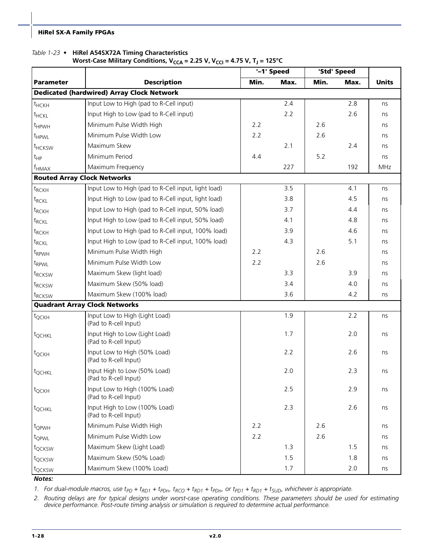#### *Table 1-23 •* **HiRel A54SX72A Timing Characteristics**

#### Worst-Case Military Conditions, V<sub>CCA</sub> = 2.25 V, V<sub>CCI</sub> = 4.75 V, T<sub>J</sub> = 125°C

|                     |                                                         | '-1' Speed |      | 'Std' Speed |      |              |
|---------------------|---------------------------------------------------------|------------|------|-------------|------|--------------|
| <b>Parameter</b>    | <b>Description</b>                                      | Min.       | Max. | Min.        | Max. | <b>Units</b> |
|                     | <b>Dedicated (hardwired) Array Clock Network</b>        |            |      |             |      |              |
| $t$ <sub>HCKH</sub> | Input Low to High (pad to R-Cell input)                 |            | 2.4  |             | 2.8  | ns           |
| t <sub>HCKL</sub>   | Input High to Low (pad to R-Cell input)                 |            | 2.2  |             | 2.6  | ns           |
| t <sub>HPWH</sub>   | Minimum Pulse Width High                                | 2.2        |      | 2.6         |      | ns           |
| t <sub>HPWL</sub>   | Minimum Pulse Width Low                                 | 2.2        |      | 2.6         |      | ns           |
| t <sub>HCKSW</sub>  | Maximum Skew                                            |            | 2.1  |             | 2.4  | ns           |
| $t_{HP}$            | Minimum Period                                          | 4.4        |      | 5.2         |      | ns           |
| $f_{HMAX}$          | Maximum Frequency                                       |            | 227  |             | 192  | MHz          |
|                     | <b>Routed Array Clock Networks</b>                      |            |      |             |      |              |
| $t_{RCKH}$          | Input Low to High (pad to R-Cell input, light load)     |            | 3.5  |             | 4.1  | ns           |
| $t_{RCKL}$          | Input High to Low (pad to R-Cell input, light load)     |            | 3.8  |             | 4.5  | ns           |
| t <sub>RCKH</sub>   | Input Low to High (pad to R-Cell input, 50% load)       |            | 3.7  |             | 4.4  | ns           |
| t <sub>RCKL</sub>   | Input High to Low (pad to R-Cell input, 50% load)       |            | 4.1  |             | 4.8  | ns           |
| t <sub>RCKH</sub>   | Input Low to High (pad to R-Cell input, 100% load)      |            | 3.9  |             | 4.6  | ns           |
| t <sub>RCKL</sub>   | Input High to Low (pad to R-Cell input, 100% load)      |            | 4.3  |             | 5.1  | ns           |
| t <sub>RPWH</sub>   | Minimum Pulse Width High                                | 2.2        |      | 2.6         |      | ns           |
| t <sub>RPWL</sub>   | Minimum Pulse Width Low                                 | 2.2        |      | 2.6         |      | ns           |
| t <sub>RCKSW</sub>  | Maximum Skew (light load)                               |            | 3.3  |             | 3.9  | ns           |
| t <sub>RCKSW</sub>  | Maximum Skew (50% load)                                 |            | 3.4  |             | 4.0  | ns           |
| t <sub>RCKSW</sub>  | Maximum Skew (100% load)                                |            | 3.6  |             | 4.2  | ns           |
|                     | <b>Quadrant Array Clock Networks</b>                    |            |      |             |      |              |
| $t_{QCKH}$          | Input Low to High (Light Load)<br>(Pad to R-cell Input) |            | 1.9  |             | 2.2  | ns           |
| t <sub>QCHKL</sub>  | Input High to Low (Light Load)<br>(Pad to R-cell Input) |            | 1.7  |             | 2.0  | ns           |
| $t_{QCKH}$          | Input Low to High (50% Load)<br>(Pad to R-cell Input)   |            | 2.2  |             | 2.6  | ns           |
| t <sub>QCHKL</sub>  | Input High to Low (50% Load)<br>(Pad to R-cell Input)   |            | 2.0  |             | 2.3  | ns           |
| $t_{QCKH}$          | Input Low to High (100% Load)<br>(Pad to R-cell Input)  |            | 2.5  |             | 2.9  | ns           |
| t <sub>QCHKL</sub>  | Input High to Low (100% Load)<br>(Pad to R-cell Input)  |            | 2.3  |             | 2.6  | ns           |
| t <sub>QPWH</sub>   | Minimum Pulse Width High                                | 2.2        |      | 2.6         |      | ns           |
| t <sub>QPWL</sub>   | Minimum Pulse Width Low                                 | 2.2        |      | 2.6         |      | ns           |
| t <sub>QCKSW</sub>  | Maximum Skew (Light Load)                               |            | 1.3  |             | 1.5  | ns           |
| t <sub>QCKSW</sub>  | Maximum Skew (50% Load)                                 |            | 1.5  |             | 1.8  | ns           |
| t <sub>QCKSW</sub>  | Maximum Skew (100% Load)                                |            | 1.7  |             | 2.0  | ns           |

*Notes:*

1. For dual-module macros, use  $t_{PD}$  +  $t_{RD1}$  +  $t_{PDn}$ ,  $t_{RCD}$  +  $t_{RD1}$  +  $t_{PD1}$  +  $t_{RD1}$  +  $t_{SUD}$ , whichever is appropriate.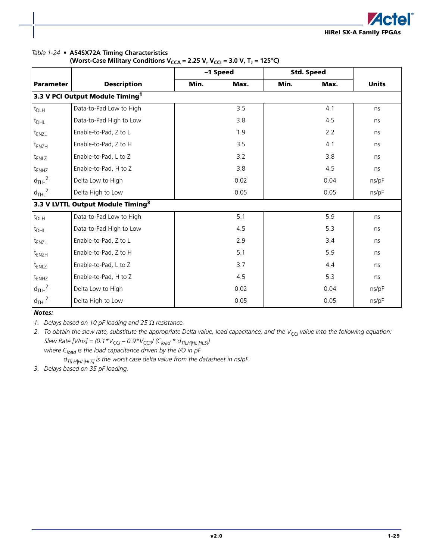

#### *Table 1-24 •* **A54SX72A Timing Characteristics**

| (Worst-Case Military Conditions V <sub>CCA</sub> = 2.25 V, V <sub>CCI</sub> = 3.0 V, T <sub>J</sub> = 125°C) |  |  |
|--------------------------------------------------------------------------------------------------------------|--|--|
|--------------------------------------------------------------------------------------------------------------|--|--|

|                   |                                               | -1 Speed |      | <b>Std. Speed</b> |      |              |
|-------------------|-----------------------------------------------|----------|------|-------------------|------|--------------|
| <b>Parameter</b>  | <b>Description</b>                            | Min.     | Max. | Min.              | Max. | <b>Units</b> |
|                   | 3.3 V PCI Output Module Timing <sup>1</sup>   |          |      |                   |      |              |
| $t_{DLH}$         | Data-to-Pad Low to High                       |          | 3.5  |                   | 4.1  | ns           |
| $t_{DHL}$         | Data-to-Pad High to Low                       |          | 3.8  |                   | 4.5  | ns           |
| $t_{ENZL}$        | Enable-to-Pad, Z to L                         |          | 1.9  |                   | 2.2  | ns           |
| t <sub>ENZH</sub> | Enable-to-Pad, Z to H                         |          | 3.5  |                   | 4.1  | ns           |
| $t_{ENLZ}$        | Enable-to-Pad, L to Z                         |          | 3.2  |                   | 3.8  | ns           |
| $t_{ENHZ}$        | Enable-to-Pad, H to Z                         |          | 3.8  |                   | 4.5  | ns           |
| $d_{TLH}^2$       | Delta Low to High                             |          | 0.02 |                   | 0.04 | ns/pF        |
| $d_{THL}^2$       | Delta High to Low                             |          | 0.05 |                   | 0.05 | ns/pF        |
|                   | 3.3 V LVTTL Output Module Timing <sup>3</sup> |          |      |                   |      |              |
| $t_{DLH}$         | Data-to-Pad Low to High                       |          | 5.1  |                   | 5.9  | ns           |
| $t_{DHL}$         | Data-to-Pad High to Low                       |          | 4.5  |                   | 5.3  | ns           |
| t <sub>ENZL</sub> | Enable-to-Pad, Z to L                         |          | 2.9  |                   | 3.4  | ns           |
| $t_{ENZH}$        | Enable-to-Pad, Z to H                         |          | 5.1  |                   | 5.9  | ns           |
| $t_{ENLZ}$        | Enable-to-Pad, L to Z                         |          | 3.7  |                   | 4.4  | ns           |
| $t_{ENHZ}$        | Enable-to-Pad, H to Z                         |          | 4.5  |                   | 5.3  | ns           |
| $d_{TLH}^2$       | Delta Low to High                             |          | 0.02 |                   | 0.04 | ns/pF        |
| $d_{THL}^2$       | Delta High to Low                             |          | 0.05 |                   | 0.05 | ns/pF        |

*Notes:*

*1. Delays based on 10 pF loading and 25* Ω *resistance.*

2. To obtain the slew rate, substitute the appropriate Delta value, load capacitance, and the V<sub>CCI</sub> value into the following equation: *Slew Rate [VIns]* =  $(0.1 * V_{CG} - 0.9 * V_{CG}) / (C_{load} * d_{T[LH|HL|HLS})$ 

where C<sub>load</sub> is the load capacitance driven by the I/O in pF *dT[LH|HL|HLS] is the worst case delta value from the datasheet in ns/pF.*

*3. Delays based on 35 pF loading.*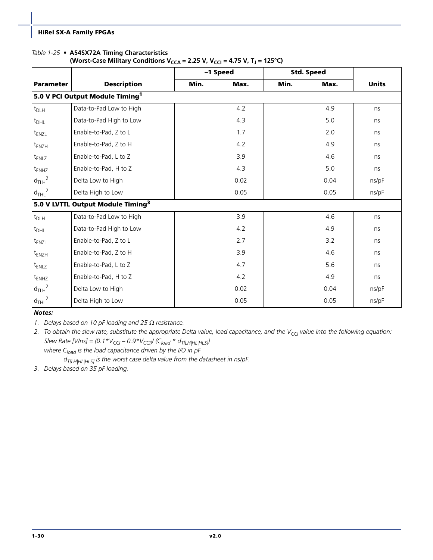#### <span id="page-33-0"></span>*Table 1-25 •* **A54SX72A Timing Characteristics**

| (Worst-Case Military Conditions V <sub>CCA</sub> = 2.25 V, V <sub>CCI</sub> = 4.75 V, T <sub>J</sub> = 125°C) |  |  |
|---------------------------------------------------------------------------------------------------------------|--|--|
|---------------------------------------------------------------------------------------------------------------|--|--|

|                   |                                               | -1 Speed |      |      | <b>Std. Speed</b> |              |
|-------------------|-----------------------------------------------|----------|------|------|-------------------|--------------|
| <b>Parameter</b>  | <b>Description</b>                            | Min.     | Max. | Min. | Max.              | <b>Units</b> |
|                   | 5.0 V PCI Output Module Timing <sup>1</sup>   |          |      |      |                   |              |
| $t_{DLH}$         | Data-to-Pad Low to High                       |          | 4.2  |      | 4.9               | ns           |
| $t_{DHL}$         | Data-to-Pad High to Low                       |          | 4.3  |      | 5.0               | ns           |
| t <sub>ENZL</sub> | Enable-to-Pad, Z to L                         |          | 1.7  |      | 2.0               | ns           |
| $t_{ENZH}$        | Enable-to-Pad, Z to H                         |          | 4.2  |      | 4.9               | ns           |
| t <sub>ENLZ</sub> | Enable-to-Pad, L to Z                         |          | 3.9  |      | 4.6               | ns           |
| $t_{ENHZ}$        | Enable-to-Pad, H to Z                         |          | 4.3  |      | 5.0               | ns           |
| $d_{TLH}^2$       | Delta Low to High                             |          | 0.02 |      | 0.04              | ns/pF        |
| $d_{THL}^2$       | Delta High to Low                             |          | 0.05 |      | 0.05              | ns/pF        |
|                   | 5.0 V LVTTL Output Module Timing <sup>3</sup> |          |      |      |                   |              |
| $t_{DLH}$         | Data-to-Pad Low to High                       |          | 3.9  |      | 4.6               | ns           |
| $t_{DHL}$         | Data-to-Pad High to Low                       |          | 4.2  |      | 4.9               | ns           |
| t <sub>ENZL</sub> | Enable-to-Pad, Z to L                         |          | 2.7  |      | 3.2               | ns           |
| $t_{ENZH}$        | Enable-to-Pad, Z to H                         |          | 3.9  |      | 4.6               | ns           |
| $t_{ENLZ}$        | Enable-to-Pad, L to Z                         |          | 4.7  |      | 5.6               | ns           |
| $t_{ENHZ}$        | Enable-to-Pad, H to Z                         |          | 4.2  |      | 4.9               | ns           |
| $d_{TLH}^2$       | Delta Low to High                             |          | 0.02 |      | 0.04              | ns/pF        |
| $d_{THL}^2$       | Delta High to Low                             |          | 0.05 |      | 0.05              | ns/pF        |

#### *Notes:*

*1. Delays based on 10 pF loading and 25* Ω *resistance.*

2. To obtain the slew rate, substitute the appropriate Delta value, load capacitance, and the V<sub>CCI</sub> value into the following equation: *Slew Rate [VIns]* =  $(0.1 * V_{CG} - 0.9 * V_{CG}) / (C_{load} * d_{T[LH|HL|HLS})$ 

where C<sub>load</sub> is the load capacitance driven by the I/O in pF *dT[LH|HL|HLS] is the worst case delta value from the datasheet in ns/pF.*

*3. Delays based on 35 pF loading.*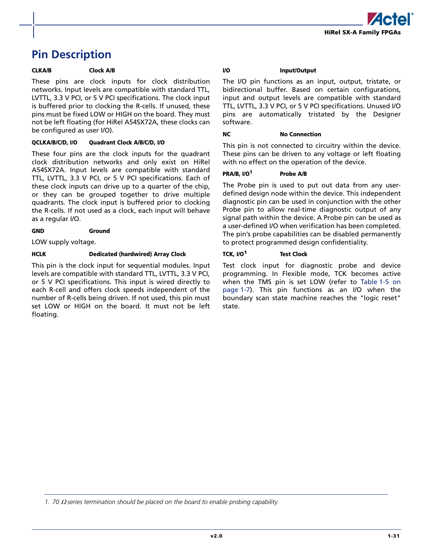

# <span id="page-34-1"></span><span id="page-34-0"></span>**Pin Description**

#### **CLKA/B Clock A/B**

These pins are clock inputs for clock distribution networks. Input levels are compatible with standard TTL, LVTTL, 3.3 V PCI, or 5 V PCI specifications. The clock input is buffered prior to clocking the R-cells. If unused, these pins must be fixed LOW or HIGH on the board. They must not be left floating (for HiRel A54SX72A, these clocks can be configured as user I/O).

#### **QCLKA/B/C/D, I/O Quadrant Clock A/B/C/D, I/O**

These four pins are the clock inputs for the quadrant clock distribution networks and only exist on HiRel A54SX72A. Input levels are compatible with standard TTL, LVTTL, 3.3 V PCI, or 5 V PCI specifications. Each of these clock inputs can drive up to a quarter of the chip, or they can be grouped together to drive multiple quadrants. The clock input is buffered prior to clocking the R-cells. If not used as a clock, each input will behave as a regular I/O.

#### **GND Ground**

LOW supply voltage.

#### **HCLK Dedicated (hardwired) Array Clock**

This pin is the clock input for sequential modules. Input levels are compatible with standard TTL, LVTTL, 3.3 V PCI, or 5 V PCI specifications. This input is wired directly to each R-cell and offers clock speeds independent of the number of R-cells being driven. If not used, this pin must set LOW or HIGH on the board. It must not be left floating.

#### **I/O Input/Output**

The I/O pin functions as an input, output, tristate, or bidirectional buffer. Based on certain configurations, input and output levels are compatible with standard TTL, LVTTL, 3.3 V PCI, or 5 V PCI specifications. Unused I/O pins are automatically tristated by the Designer software.

#### **NC** No Connection

This pin is not connected to circuitry within the device. These pins can be driven to any voltage or left floating with no effect on the operation of the device.

#### **PRA/B, I/O<sup>1</sup> Probe A/B**

The Probe pin is used to put out data from any userdefined design node within the device. This independent diagnostic pin can be used in conjunction with the other Probe pin to allow real-time diagnostic output of any signal path within the device. A Probe pin can be used as a user-defined I/O when verification has been completed. The pin's probe capabilities can be disabled permanently to protect programmed design confidentiality.

#### **TCK, I/O<sup>1</sup> Test Clock**

Test clock input for diagnostic probe and device programming. In Flexible mode, TCK becomes active when the TMS pin is set LOW (refer to [Table 1-5 on](#page-10-1) [page 1-7\)](#page-10-1). This pin functions as an I/O when the boundary scan state machine reaches the "logic reset" state.

*1. 70* Ω *series termination should be placed on the board to enable probing capability.*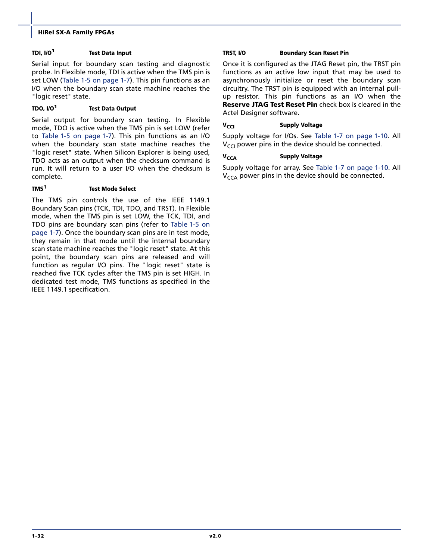#### **TDI, I/O<sup>1</sup> Test Data Input**

Serial input for boundary scan testing and diagnostic probe. In Flexible mode, TDI is active when the TMS pin is set LOW [\(Table 1-5 on page 1-7\)](#page-10-1). This pin functions as an I/O when the boundary scan state machine reaches the "logic reset" state.

#### **TDO, I/O<sup>1</sup> Test Data Output**

Serial output for boundary scan testing. In Flexible mode, TDO is active when the TMS pin is set LOW (refer to [Table 1-5 on page 1-7](#page-10-1)). This pin functions as an I/O when the boundary scan state machine reaches the "logic reset" state. When Silicon Explorer is being used, TDO acts as an output when the checksum command is run. It will return to a user I/O when the checksum is complete.

#### **TMS<sup>1</sup> Test Mode Select**

The TMS pin controls the use of the IEEE 1149.1 Boundary Scan pins (TCK, TDI, TDO, and TRST). In Flexible mode, when the TMS pin is set LOW, the TCK, TDI, and TDO pins are boundary scan pins (refer to [Table 1-5 on](#page-10-1) [page 1-7\)](#page-10-1). Once the boundary scan pins are in test mode, they remain in that mode until the internal boundary scan state machine reaches the "logic reset" state. At this point, the boundary scan pins are released and will function as regular I/O pins. The "logic reset" state is reached five TCK cycles after the TMS pin is set HIGH. In dedicated test mode, TMS functions as specified in the IEEE 1149.1 specification.

#### **TRST, I/O Boundary Scan Reset Pin**

Once it is configured as the JTAG Reset pin, the TRST pin functions as an active low input that may be used to asynchronously initialize or reset the boundary scan circuitry. The TRST pin is equipped with an internal pullup resistor. This pin functions as an I/O when the **Reserve JTAG Test Reset Pin** check box is cleared in the Actel Designer software.

#### **V<sub>CCI</sub> Supply Voltage**

Supply voltage for I/Os. See [Table 1-7 on page 1-10](#page-13-2). All  $V_{\text{CCI}}$  power pins in the device should be connected.

#### **V<sub>CCA</sub> Supply Voltage**

Supply voltage for array. See [Table 1-7 on page 1-10.](#page-13-2) All  $V_{CCA}$  power pins in the device should be connected.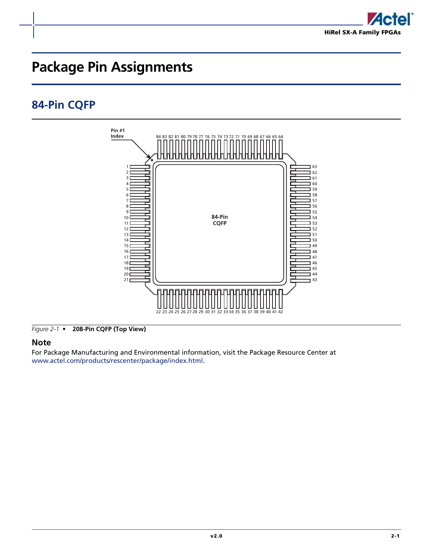

# <span id="page-36-0"></span>**Package Pin Assignments**

# <span id="page-36-1"></span>**84-Pin CQFP**



*Figure 2-1 •* **208-Pin CQFP (Top View)**

### **Note**

For Package Manufacturing and Environmental information, visit the Package Resource Center at <www.actel.com/products/rescenter/package/index.html>.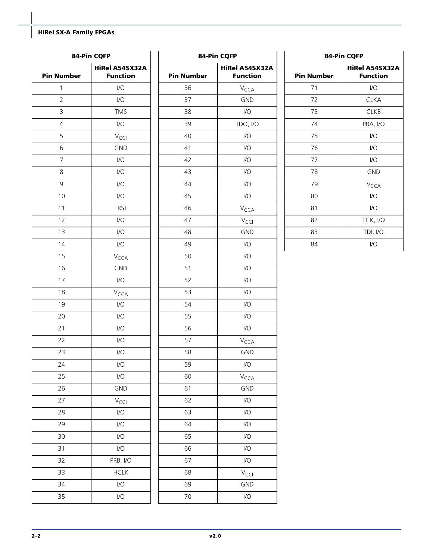| 84-Pin CQFP       |                                   |  |
|-------------------|-----------------------------------|--|
| <b>Pin Number</b> | HiRel A54SX32A<br><b>Function</b> |  |
| 1                 | 1/O                               |  |
| $\overline{2}$    | 1/O                               |  |
| 3                 | <b>TMS</b>                        |  |
| 4                 | 1/O                               |  |
| 5                 | V <sub>CCI</sub>                  |  |
| 6                 | <b>GND</b>                        |  |
| 7                 | 1/O                               |  |
| 8                 | 1/O                               |  |
| 9                 | 1/O                               |  |
| 10                | 1/O                               |  |
| 11                | <b>TRST</b>                       |  |
| 12                | 1/O                               |  |
| 13                | 1/O                               |  |
| 14                | 1/O                               |  |
| 15                | V <sub>CCA</sub>                  |  |
| 16                | <b>GND</b>                        |  |
| 17                | $\mathsf{I}/\mathsf{O}$           |  |
| 18                | V <sub>CCA</sub>                  |  |
| 19                | 1/O                               |  |
| 20                | 1/O                               |  |
| 21                | 1/O                               |  |
| 22                | 1/O                               |  |
| 23                | 1/O                               |  |
| 24                | 1/O                               |  |
| 25                | 1/O                               |  |
| 26                | <b>GND</b>                        |  |
| 27                | V <sub>CCI</sub>                  |  |
| 28                | 1/O                               |  |
| 29                | 1/O                               |  |
| 30                | 1/O                               |  |
| 31                | 1/O                               |  |
| 32                | PRB, I/O                          |  |
| 33                | <b>HCLK</b>                       |  |
| 34                | 1/O                               |  |
| 35                | 1/O                               |  |
|                   |                                   |  |

| 84-Pin CQFP       |                                          |  |  |
|-------------------|------------------------------------------|--|--|
| <b>Pin Number</b> | <b>HiRel A54SX32A</b><br><b>Function</b> |  |  |
| 36                | V <sub>CCA</sub>                         |  |  |
| 37                | <b>GND</b>                               |  |  |
| 38                | 1/2                                      |  |  |
| 39                | TDO, I/O                                 |  |  |
| 40                | 1/O                                      |  |  |
| 41                | 1/O                                      |  |  |
| 42                | 1/O                                      |  |  |
| 43                | 1/O                                      |  |  |
| 44                | 1/O                                      |  |  |
| 45                | 1/O                                      |  |  |
| 46                | $V_{\text{CCA}}$                         |  |  |
| 47                | V <sub>CCI</sub>                         |  |  |
| 48                | <b>GND</b>                               |  |  |
| 49                | 1/O                                      |  |  |
| 50                | 1/2                                      |  |  |
| 51                | 1/O                                      |  |  |
| 52                | 1/O                                      |  |  |
| 53                | 1/O                                      |  |  |
| 54                | 1/O                                      |  |  |
| 55                | 1/O                                      |  |  |
| 56                | 1/O                                      |  |  |
| 57                | V <sub>CCA</sub>                         |  |  |
| 58                | <b>GND</b>                               |  |  |
| 59                | $\overline{1}/\overline{O}$              |  |  |
| 60                | V <sub>CCA</sub>                         |  |  |
| 61                | <b>GND</b>                               |  |  |
| 62                | 1/O                                      |  |  |
| 63                | $\overline{1}/\overline{O}$              |  |  |
| 64                | 1/O                                      |  |  |
| 65                | 1/O                                      |  |  |
| 66                | 1/O                                      |  |  |
| 67                | I/O                                      |  |  |
| 68                | V <sub>CCI</sub>                         |  |  |
| 69                | <b>GND</b>                               |  |  |
| 70                | $\overline{1}/\overline{O}$              |  |  |

| 84-Pin CQFP       |                                          |  |  |
|-------------------|------------------------------------------|--|--|
| <b>Pin Number</b> | <b>HiRel A54SX32A</b><br><b>Function</b> |  |  |
| 71                | VO                                       |  |  |
| 72                | CLKA                                     |  |  |
| 73                | <b>CLKB</b>                              |  |  |
| 74                | PRA, I/O                                 |  |  |
| 75                | I/O                                      |  |  |
| 76                | V <sub>O</sub>                           |  |  |
| 77                | VO                                       |  |  |
| 78                | <b>GND</b>                               |  |  |
| 79                | V <sub>CCA</sub>                         |  |  |
| 80                | I/O                                      |  |  |
| 81                | I/O                                      |  |  |
| 82                | TCK, I/O                                 |  |  |
| 83                | TDI, I/O                                 |  |  |
| 84                | I/O                                      |  |  |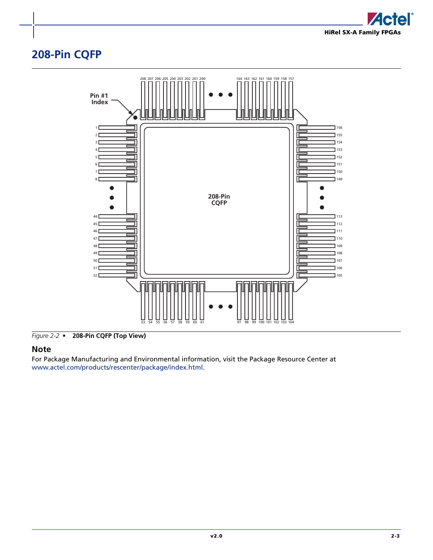

# <span id="page-38-0"></span>**208-Pin CQFP**



*Figure 2-2 •* **208-Pin CQFP (Top View)**

### **Note**

For Package Manufacturing and Environmental information, visit the Package Resource Center at <www.actel.com/products/rescenter/package/index.html>.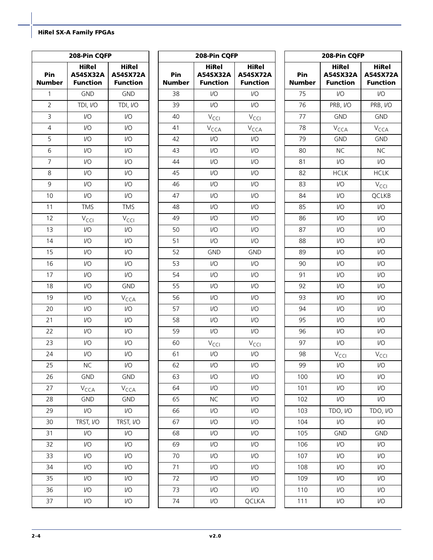|                      | 208-Pin CQFP                                |                                                    | 208-Pin CQFP         |                                                   | 208-Pin CQFP                                       |                      |                                             |                                                    |
|----------------------|---------------------------------------------|----------------------------------------------------|----------------------|---------------------------------------------------|----------------------------------------------------|----------------------|---------------------------------------------|----------------------------------------------------|
| Pin<br><b>Number</b> | <b>HiRel</b><br>A54SX32A<br><b>Function</b> | <b>HiRel</b><br><b>A54SX72A</b><br><b>Function</b> | Pin<br><b>Number</b> | <b>HiRel</b><br>A54SX32A<br><b>Function</b>       | <b>HiRel</b><br><b>A54SX72A</b><br><b>Function</b> | Pin<br><b>Number</b> | <b>HiRel</b><br>A54SX32A<br><b>Function</b> | <b>HiRel</b><br><b>A54SX72A</b><br><b>Function</b> |
| $\mathbf{1}$         | <b>GND</b>                                  | GND                                                | 38                   | 1/O                                               | $\mathsf{U}\mathsf{O}$                             | 75                   | $\mathsf{U}\mathsf{O}$                      | $\mathsf{IO}$                                      |
| $\overline{2}$       | TDI, I/O                                    | TDI, I/O                                           | 39                   | $\mathsf{I}/\mathsf{O}$                           | $\mathsf{I}/\mathsf{O}$                            | 76                   | PRB, I/O                                    | PRB, I/O                                           |
| $\mathsf{3}$         | $\mathsf{U}\mathsf{O}$                      | $\mathsf{U}\mathsf{O}$                             | 40                   | $V_{\text{CCI}}$                                  | $V_{\text{CCI}}$                                   | 77                   | <b>GND</b>                                  | GND                                                |
| $\overline{4}$       | $\mathsf{U}\mathsf{O}$                      | $\mathsf{U}\mathsf{O}$                             | 41                   | V <sub>CCA</sub>                                  | $V_{\text{CCA}}$                                   | 78                   | $V_{\text{CCA}}$                            | $V_{\text{CCA}}$                                   |
| 5                    | I/O                                         | $\mathsf{U}\mathsf{O}$                             | 42                   | 1/O                                               | $\mathsf{I}/\mathsf{O}$                            | 79                   | <b>GND</b>                                  | <b>GND</b>                                         |
| 6                    | I/O                                         | $\mathsf{U}\mathsf{O}$                             | 43                   | $\mathsf{I}/\mathsf{O}$                           | $\mathsf{I}/\mathsf{O}$                            | 80                   | $NC$                                        | NC                                                 |
| $\overline{7}$       | $\mathsf{U}\mathsf{O}$                      | $\mathsf{U}\mathsf{O}$                             | 44                   | 1/O                                               | $\mathsf{I}/\mathsf{O}$                            | 81                   | $\mathsf{U}\mathsf{O}$                      | $\mathsf{U}\mathsf{O}$                             |
| 8                    | I/O                                         | $\mathsf{U}\mathsf{O}$                             | 45                   | 1/O                                               | $\mathsf{I}/\mathsf{O}$                            | 82                   | <b>HCLK</b>                                 | <b>HCLK</b>                                        |
| $\mathsf 9$          | I/O                                         | $\mathsf{U}\mathsf{O}$                             | 46                   | 1/O                                               | $\mathsf{I}/\mathsf{O}$                            | 83                   | $\mathsf{U}\mathsf{O}$                      | $V_{\text{CCl}}$                                   |
| $10$                 | $\mathsf{U}\mathsf{O}$                      | $\mathsf{U}\mathsf{O}$                             | 47                   | 1/O                                               | $\mathsf{I}/\mathsf{O}$                            | 84                   | $\mathsf{U}\mathsf{O}$                      | QCLKB                                              |
| 11                   | <b>TMS</b>                                  | <b>TMS</b>                                         | 48                   | 1/O                                               | $\mathsf{I}/\mathsf{O}$                            | 85                   | $\mathsf{U}\mathsf{O}$                      | $\mathsf{U}\mathsf{O}$                             |
| 12                   | $V_{\text{CCl}}$                            | $V_{\text{CCl}}$                                   | 49                   | 1/O                                               | $\mathsf{I}/\mathsf{O}$                            | 86                   | I/O                                         | $\mathsf{U}\mathsf{O}$                             |
| 13                   | $\mathsf{I}/\mathsf{O}$                     | $\mathsf{I}/\mathsf{O}$                            | 50                   | 1/O                                               | $\mathsf{I}/\mathsf{O}$                            | 87                   | $IVO$                                       | $\mathsf{U}\mathsf{O}$                             |
| 14                   | I/O                                         | $\mathsf{U}\mathsf{O}$                             | 51                   | $\mathsf{I}/\mathsf{O}$                           | $\mathsf{I}/\mathsf{O}$                            | 88                   | $\mathsf{U}\mathsf{O}$                      | $\mathsf{I}/\mathsf{O}$                            |
| 15                   | I/O                                         | $\mathsf{U}\mathsf{O}$                             | 52                   | <b>GND</b>                                        | <b>GND</b>                                         | 89                   | I/O                                         | $\mathsf{U}\mathsf{O}$                             |
| 16                   | $\mathsf{I}/\mathsf{O}$                     | $\mathsf{U}\mathsf{O}$                             | 53                   | 1/O                                               | $\mathsf{U}\mathsf{O}$                             | 90                   | $IVO$                                       | $\mathsf{U}\mathsf{O}$                             |
| 17                   | I/O                                         | $\mathsf{U}\mathsf{O}$                             | 54                   | 1/O                                               | $\mathsf{I}/\mathsf{O}$                            | 91                   | $\mathsf{U}\mathsf{O}$                      | $\mathsf{I}/\mathsf{O}$                            |
| 18                   | I/O                                         | <b>GND</b>                                         | 55                   | 1/O                                               | $\mathsf{I}/\mathsf{O}$                            | 92                   | I/O                                         | $\mathsf{U}\mathsf{O}$                             |
| 19                   | $\mathsf{U}\mathsf{O}$                      | $V_{\text{CCA}}$                                   | 56                   | 1/O                                               | $\mathsf{I}/\mathsf{O}$                            | 93                   | $IVO$                                       | $\mathsf{U}\mathsf{O}$                             |
| 20                   | I/O                                         | $\mathsf{VO}$                                      | 57                   | 1/O                                               | $\mathsf{I}/\mathsf{O}$                            | 94                   | $\mathsf{U}\mathsf{O}$                      | $\mathsf{I}/\mathsf{O}$                            |
| 21                   | $\mathsf{U}\mathsf{O}$                      | $\mathsf{U}\mathsf{O}$                             | 58                   | $\mathsf{I}/\mathsf{O}$                           | $\mathsf{I}/\mathsf{O}$                            | 95                   | I/O                                         | I/O                                                |
| 22                   | $\mathsf{U}\mathsf{O}$                      | $\mathsf{U}\mathsf{O}$                             | 59                   | 1/O                                               | $\mathsf{U}\mathsf{O}$                             | 96                   | $\mathsf{U}\mathsf{O}$                      | $\mathsf{U}\mathsf{O}$                             |
| 23                   | I/O                                         | $\mathsf{U}\mathsf{O}$                             | 60                   | $V_{\text{CCl}}$                                  | $\rm V_{\rm CCl}$                                  | 97                   | $\mathsf{U}\mathsf{O}$                      | $\mathsf{I}/\mathsf{O}$                            |
| 24                   | I/O                                         | $\mathsf{U}\mathsf{O}$                             | 61                   | $\ensuremath{\mathsf{I}}/\ensuremath{\mathsf{O}}$ | $\ensuremath{\mathsf{IO}}$                         | 98                   | $V_{\text{CCI}}$                            | $V_{\text{CCl}}$                                   |
| 25                   | <b>NC</b>                                   | $\mathsf{VO}$                                      | 62                   | $\mathsf{I}/\mathsf{O}$                           | $\mathsf{I}/\mathsf{O}$                            | 99                   | $\mathsf{I}/\mathsf{O}$                     | $\mathsf{U}\mathsf{O}$                             |
| 26                   | <b>GND</b>                                  | <b>GND</b>                                         | 63                   | $\mathsf{I}/\mathsf{O}$                           | $\mathsf{I}/\mathsf{O}$                            | 100                  | $\mathsf{U}\mathsf{O}$                      | $\mathsf{I}/\mathsf{O}$                            |
| 27                   | $V_{\text{CCA}}$                            | $V_{\text{CCA}}$                                   | 64                   | $\mathsf{I}/\mathsf{O}$                           | $\mathsf{I}/\mathsf{O}$                            | 101                  | I/O                                         | $\mathsf{I}/\mathsf{O}$                            |
| 28                   | <b>GND</b>                                  | GND                                                | 65                   | <b>NC</b>                                         | $\mathsf{U}\mathsf{O}$                             | 102                  | $\mathsf{U}\mathsf{O}$                      | $\mathsf{I}/\mathsf{O}$                            |
| 29                   | $\mathsf{U}\mathsf{O}$                      | $\mathsf{U}\mathsf{O}$                             | 66                   | $\mathsf{I}/\mathsf{O}$                           | $\mathsf{I}/\mathsf{O}$                            | 103                  | TDO, I/O                                    | TDO, I/O                                           |
| 30                   | TRST, I/O                                   | TRST, I/O                                          | 67                   | $\mathsf{I}/\mathsf{O}$                           | $\mathsf{U}\mathsf{O}$                             | 104                  | $\mathsf{U}\mathsf{O}$                      | $\mathsf{U}\mathsf{O}$                             |
| 31                   | $\mathsf{U}\mathsf{O}$                      | $\mathsf{U}\mathsf{O}$                             | 68                   | $\mathsf{I}/\mathsf{O}$                           | $\mathsf{U}\mathsf{O}$                             | 105                  | <b>GND</b>                                  | <b>GND</b>                                         |
| 32                   | $\mathsf{I}/\mathsf{O}$                     | $\mathsf{U}\mathsf{O}$                             | 69                   | $\mathsf{I}/\mathsf{O}$                           | $\mathsf{I}/\mathsf{O}$                            | 106                  | $\mathsf{U}\mathsf{O}$                      | $\mathsf{U}\mathsf{O}$                             |
| 33                   | I/O                                         | I/O                                                | 70                   | I/O                                               | $\mathsf{U}\mathsf{O}$                             | 107                  | I/O                                         | $\mathsf{I}/\mathsf{O}$                            |
| 34                   | I/O                                         | $\mathsf{U}\mathsf{O}$                             | 71                   | 1/O                                               | $\mathsf{U}\mathsf{O}$                             | 108                  | $\mathsf{U}\mathsf{O}$                      | $\mathsf{I}/\mathsf{O}$                            |
| 35                   | I/O                                         | $\mathsf{U}\mathsf{O}$                             | 72                   | $\mathsf{I}/\mathsf{O}$                           | $\mathsf{U}\mathsf{O}$                             | 109                  | $\mathsf{U}\mathsf{O}$                      | $\mathsf{I}/\mathsf{O}$                            |
| 36                   | I/O                                         | $\sqrt{O}$                                         | 73                   | $\overline{1}/\overline{O}$                       | $\mathsf{U}\mathsf{O}$                             | 110                  | $\mathsf{U}\mathsf{O}$                      | I/O                                                |
| 37                   | I/O                                         | $\mathsf{U}\mathsf{O}$                             | 74                   | $\mathsf{I}/\mathsf{O}$                           | QCLKA                                              | 111                  | $\mathsf{U}\mathsf{O}$                      | $\mathsf{U}\mathsf{O}$                             |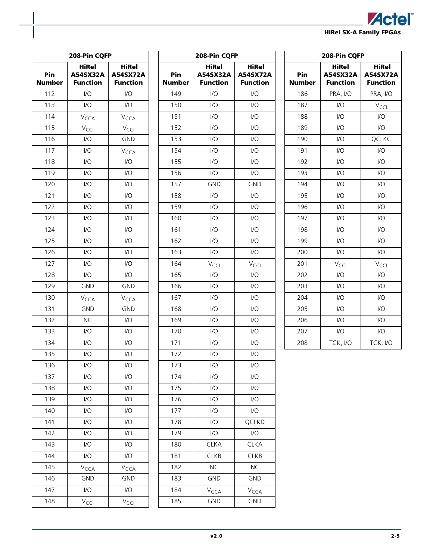|                         | <b>Actel</b> ® |
|-------------------------|----------------|
| HiRel SX-A Family FPGAs |                |

| 208-Pin CQFP    |                                             |                                             |  |  |
|-----------------|---------------------------------------------|---------------------------------------------|--|--|
| Pin<br>Number   | <b>HiRel</b><br>A54SX32A<br><b>Function</b> | <b>HiRel</b><br>A54SX72A<br><b>Function</b> |  |  |
| 112             | I/O                                         | I/O                                         |  |  |
| 113             | I/O                                         | I/O                                         |  |  |
| 114             | <b>V</b> <sub>CCA</sub>                     | <b>V</b> <sub>CCA</sub>                     |  |  |
| 115             | V <sub>CCI</sub>                            | V <sub>CCI</sub>                            |  |  |
| 116             | I/O                                         | GND                                         |  |  |
| 117             | I/O                                         | <b>V</b> <sub>CCA</sub>                     |  |  |
| 118             | I/O                                         | I/O                                         |  |  |
| 119             | I/O                                         | I/O                                         |  |  |
| 120             | I/O                                         | I/O                                         |  |  |
| 121             | I/O                                         | I/O                                         |  |  |
| 122             | I/O                                         | I/O                                         |  |  |
| 123             | $\overline{U}$                              | I/O                                         |  |  |
| 124             | I/O                                         | I/O                                         |  |  |
| 125             | I/O                                         | I/O                                         |  |  |
| 126             | I/O                                         | I/O                                         |  |  |
| 127             | I/O                                         | I/O                                         |  |  |
| 128             | I/O                                         | I/O                                         |  |  |
| 129             | <b>GND</b>                                  | GND                                         |  |  |
| 130             | V <sub>CCA</sub>                            | V <sub>CCA</sub>                            |  |  |
| 131             | <b>GND</b>                                  | <b>GND</b>                                  |  |  |
| 132             | <b>NC</b>                                   | I/O                                         |  |  |
| 133             | I/O                                         | I/O                                         |  |  |
| 134             | I/O                                         | I/O                                         |  |  |
| 135             | I/O                                         | I/O                                         |  |  |
| 136             | I/O                                         | I/O                                         |  |  |
| 137             | I/O                                         | I/O                                         |  |  |
| 138             | I/O                                         | I/O                                         |  |  |
| 139             | I/O                                         | I/O                                         |  |  |
| 140             | I/O                                         | I/O                                         |  |  |
| 141             | I/O                                         | I/O                                         |  |  |
| 142             | I/O                                         | I/O                                         |  |  |
| 143             | I/O                                         | I/O                                         |  |  |
| 144             | I/O                                         | I/O                                         |  |  |
| -<br>145        | V <sub>CCA</sub>                            | V <sub>CCA</sub>                            |  |  |
| 146             | <b>GND</b>                                  | <b>GND</b>                                  |  |  |
| 147             | I/O                                         | I/O                                         |  |  |
| $\frac{1}{148}$ | V <sub>CCI</sub>                            | V <sub>CCI</sub>                            |  |  |

| 208-Pin CQFP  |                                             |                                             |  |  |
|---------------|---------------------------------------------|---------------------------------------------|--|--|
| Pin<br>Number | <b>HiRel</b><br>A54SX32A<br><b>Function</b> | <b>HiRel</b><br>A54SX72A<br><b>Function</b> |  |  |
| 149           | 1/O                                         | I/O                                         |  |  |
| 150           | I/O                                         | I/O                                         |  |  |
| 151           | I/O                                         | I/O                                         |  |  |
| 152           | 1/0                                         | I/O                                         |  |  |
| 153           | I/O                                         | I/O                                         |  |  |
| 154           | I/O                                         | I/O                                         |  |  |
| 155           | 1/0                                         | I/O                                         |  |  |
| 156           | I/O                                         | I/O                                         |  |  |
| 157           | <b>GND</b>                                  | <b>GND</b>                                  |  |  |
| 158           | 1/0                                         | I/O                                         |  |  |
| 159           | I/O                                         | I/O                                         |  |  |
| 160           | I/O                                         | I/O                                         |  |  |
| 161           | 1/0                                         | I/O                                         |  |  |
| 162           | I/O                                         | I/O                                         |  |  |
| 163           | I/O                                         | I/O                                         |  |  |
| 164           | V <sub>CCI</sub>                            | V <sub>CCI</sub>                            |  |  |
| 165           | 1/0                                         | I/O                                         |  |  |
| 166           | I/O                                         | I/O                                         |  |  |
| 167           | 1/0                                         | I/O                                         |  |  |
| 168           | I/O                                         | I/O                                         |  |  |
| 169           | I/O                                         | I/O                                         |  |  |
| 170           | 1/0                                         | I/O                                         |  |  |
| 171           | I/O                                         | I/O                                         |  |  |
| 172           | 1/0                                         | I/O                                         |  |  |
| 173           | 1/O                                         | I/O                                         |  |  |
| 174           | I/O                                         | I/O                                         |  |  |
| 175           | I/O                                         | I/O                                         |  |  |
| 176           | I/O                                         | I/O                                         |  |  |
| 177           | I/O                                         | I/O                                         |  |  |
| 178           | I/O                                         | QCLKD                                       |  |  |
| 179           | I/O                                         | I/O                                         |  |  |
| 180           | <b>CLKA</b>                                 | <b>CLKA</b>                                 |  |  |
| 181           | CLKB                                        | <b>CLKB</b>                                 |  |  |
| 182           | <b>NC</b>                                   | NC                                          |  |  |
| 183           | <b>GND</b>                                  | <b>GND</b>                                  |  |  |
| 184           | V <sub>CCA</sub>                            | V <sub>CCA</sub>                            |  |  |
| 185           | <b>GND</b>                                  | <b>GND</b>                                  |  |  |

| 208-Pin CQFP         |                                             |                                             |  |  |
|----------------------|---------------------------------------------|---------------------------------------------|--|--|
| Pin<br><b>Number</b> | <b>HiRel</b><br>A54SX32A<br><b>Function</b> | <b>HiRel</b><br>A54SX72A<br><b>Function</b> |  |  |
| 186                  | PRA, I/O                                    | PRA, I/O                                    |  |  |
| 187                  | I/O                                         | V <sub>CCI</sub>                            |  |  |
| 188                  | I/O                                         | I/O                                         |  |  |
| 189                  | I/O                                         | I/O                                         |  |  |
| 190                  | I/O                                         | QCLKC                                       |  |  |
| 191                  | I/O                                         | $\overline{U}$                              |  |  |
| 192                  | I/O                                         | I/O                                         |  |  |
| 193                  | 1/2                                         | I/O                                         |  |  |
| 194                  | I/O                                         | I/O                                         |  |  |
| 195                  | I/O                                         | I/O                                         |  |  |
| 196                  | 1/2                                         | $\overline{U}$                              |  |  |
| 197                  | I/O                                         | I/O                                         |  |  |
| 198                  | I/O                                         | $\overline{U}$                              |  |  |
| 199                  | $\overline{1}/\overline{O}$                 | $\overline{1}/\overline{O}$                 |  |  |
| 200                  | $\overline{1}/\overline{O}$                 | I/O                                         |  |  |
| 201                  | V <sub>CCI</sub>                            | V <sub>CCI</sub>                            |  |  |
| 202                  | I/O                                         | $\overline{U}$                              |  |  |
| 203                  | I/O                                         | I/O                                         |  |  |
| 204                  | 1/2                                         | $\overline{U}$                              |  |  |
| 205                  | I/O                                         | I/O                                         |  |  |
| 206                  | I/O                                         | I/O                                         |  |  |
| 207                  | I/O                                         | I/O                                         |  |  |
| 208                  | TCK, I/O                                    | TCK, I/O                                    |  |  |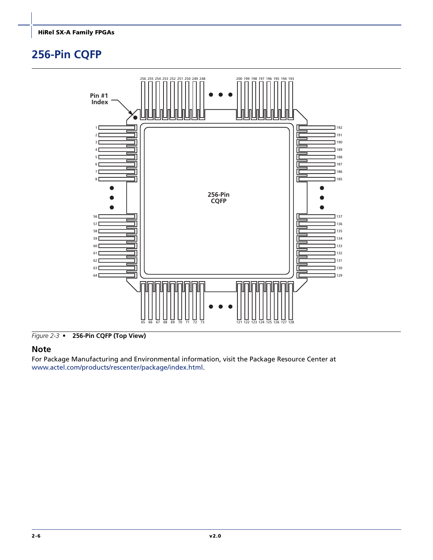# <span id="page-41-0"></span>**256-Pin CQFP**



*Figure 2-3 •* **256-Pin CQFP (Top View)**

### **Note**

For Package Manufacturing and Environmental information, visit the Package Resource Center at <www.actel.com/products/rescenter/package/index.html>.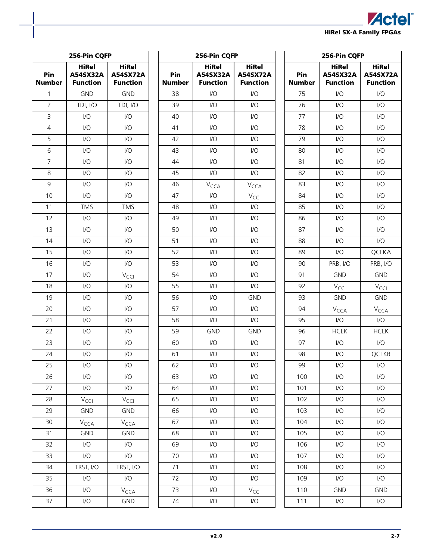

|                 | 256-Pin CQFP                                |                                             |
|-----------------|---------------------------------------------|---------------------------------------------|
| Pin<br>Number   | <b>HiRel</b><br>A54SX32A<br><b>Function</b> | <b>HiRel</b><br>A54SX72A<br><b>Function</b> |
| 1               | <b>GND</b>                                  | <b>GND</b>                                  |
| $\overline{2}$  | TDI, I/O                                    | TDI, I/O                                    |
| 3               | I/O                                         | $\overline{1}/\overline{O}$                 |
| $\overline{4}$  | I/O                                         | I/O                                         |
| 5               | I/O                                         | I/O                                         |
| 6               | I/O                                         | I/O                                         |
| 7               | I/O                                         | I/O                                         |
| 8               | I/O                                         | I/O                                         |
| 9               | I/O                                         | I/O                                         |
| 10              | I/O                                         | I/O                                         |
| 11              | <b>TMS</b>                                  | <b>TMS</b>                                  |
| 12              | I/O                                         | I/O                                         |
| 13              | I/O                                         | I/O                                         |
| 14              | I/O                                         | I/O                                         |
| 15              | I/O                                         | I/O                                         |
| 16              | I/O                                         | I/O                                         |
| $\overline{17}$ | I/O                                         | V <sub>CCI</sub>                            |
| 18              | I/O                                         | I/O                                         |
| 19              | I/O                                         | I/O                                         |
| 20              | I/O                                         | I/O                                         |
| 21              | I/O                                         | I/O                                         |
| 22              | I/O                                         | I/O                                         |
| 23              | I/O                                         | I/O                                         |
| 24              | I/O                                         | I/O                                         |
| 25              | I/O                                         | I/O                                         |
| 26              | I/O                                         | I/O                                         |
| 27              | I/O                                         | I/O                                         |
| 28              | V <sub>CCI</sub>                            | V <sub>CCI</sub>                            |
| 29              | <b>GND</b>                                  | <b>GND</b>                                  |
| 30              | V <sub>CCA</sub>                            | V <sub>CCA</sub>                            |
| 31              | <b>GND</b>                                  | <b>GND</b>                                  |
| 32              | I/O                                         | I/O                                         |
| 33              | I/O                                         | I/O                                         |
| 34              | TRST, I/O                                   | TRST, I/O                                   |
| 35              | I/O                                         | I/O                                         |
| 36              | I/O                                         | V <sub>CCA</sub>                            |
| 37              | I/O                                         | <b>GND</b>                                  |

| <b>HiRel</b><br>HiRel<br>Pin<br>A54SX32A<br><b>A54SX72A</b><br><b>Function</b><br><b>Number</b><br><b>Function</b><br>I/O<br>38<br>I/O<br>$\overline{1}/\overline{O}$<br>$\overline{U}$<br>39<br>I/O<br>I/O<br>40<br>I/O<br>41<br>I/O<br>$\overline{1}/\overline{O}$<br>$\overline{U}$<br>42<br>43<br>I/O<br>I/O<br>44<br>$\overline{1}/\overline{O}$<br>I/O<br>45<br>1/2<br>I/O<br>46<br>V <sub>CCA</sub><br>V <sub>CCA</sub><br>47<br>I/O<br>V <sub>CCI</sub><br>$\overline{1}/\overline{O}$<br>48<br>$\mathsf{I}/\mathsf{O}$<br>I/O<br>I/O<br>49<br>I/O<br>I/O<br>50<br>51<br>$\overline{1}/\overline{O}$<br>$\overline{U}$<br>52<br>I/O<br>I/O<br>53<br>I/O<br>I/O<br>54<br>$\overline{1}/\overline{O}$<br>$\overline{U}$<br>55<br>I/O<br>I/O<br>56<br>I/O<br><b>GND</b><br>57<br>$\overline{1}/\overline{O}$<br>$\overline{U}$<br>58<br>I/O<br>I/O<br>59<br><b>GND</b><br><b>GND</b><br>60<br>$\overline{1}/\overline{O}$<br>$\overline{U}$<br>I/O<br>I/O<br>61<br>62<br>I/O<br>I/O<br>63<br>I/O<br>I/O<br>64<br>I/O<br>I/O<br>65<br>I/O<br>I/O<br>66<br>I/O<br>$\overline{1}/\overline{O}$<br>67<br>I/O<br>$\overline{1}/\overline{O}$<br>68<br>I/O<br>I/O<br>I/O<br>$\overline{1}/\overline{O}$<br>69<br>I/O<br>70<br>I/O<br>71<br>I/O<br>I/O<br>I/O<br>I/O<br>72<br>73<br>I/O<br>V <sub>CCI</sub><br>74<br>I/O<br>$\overline{1}/\overline{O}$ | 256-Pin CQFP |  |
|-------------------------------------------------------------------------------------------------------------------------------------------------------------------------------------------------------------------------------------------------------------------------------------------------------------------------------------------------------------------------------------------------------------------------------------------------------------------------------------------------------------------------------------------------------------------------------------------------------------------------------------------------------------------------------------------------------------------------------------------------------------------------------------------------------------------------------------------------------------------------------------------------------------------------------------------------------------------------------------------------------------------------------------------------------------------------------------------------------------------------------------------------------------------------------------------------------------------------------------------------------------------------------------------------------------------------------------------------------|--------------|--|
|                                                                                                                                                                                                                                                                                                                                                                                                                                                                                                                                                                                                                                                                                                                                                                                                                                                                                                                                                                                                                                                                                                                                                                                                                                                                                                                                                       |              |  |
|                                                                                                                                                                                                                                                                                                                                                                                                                                                                                                                                                                                                                                                                                                                                                                                                                                                                                                                                                                                                                                                                                                                                                                                                                                                                                                                                                       |              |  |
|                                                                                                                                                                                                                                                                                                                                                                                                                                                                                                                                                                                                                                                                                                                                                                                                                                                                                                                                                                                                                                                                                                                                                                                                                                                                                                                                                       |              |  |
|                                                                                                                                                                                                                                                                                                                                                                                                                                                                                                                                                                                                                                                                                                                                                                                                                                                                                                                                                                                                                                                                                                                                                                                                                                                                                                                                                       |              |  |
|                                                                                                                                                                                                                                                                                                                                                                                                                                                                                                                                                                                                                                                                                                                                                                                                                                                                                                                                                                                                                                                                                                                                                                                                                                                                                                                                                       |              |  |
|                                                                                                                                                                                                                                                                                                                                                                                                                                                                                                                                                                                                                                                                                                                                                                                                                                                                                                                                                                                                                                                                                                                                                                                                                                                                                                                                                       |              |  |
|                                                                                                                                                                                                                                                                                                                                                                                                                                                                                                                                                                                                                                                                                                                                                                                                                                                                                                                                                                                                                                                                                                                                                                                                                                                                                                                                                       |              |  |
|                                                                                                                                                                                                                                                                                                                                                                                                                                                                                                                                                                                                                                                                                                                                                                                                                                                                                                                                                                                                                                                                                                                                                                                                                                                                                                                                                       |              |  |
|                                                                                                                                                                                                                                                                                                                                                                                                                                                                                                                                                                                                                                                                                                                                                                                                                                                                                                                                                                                                                                                                                                                                                                                                                                                                                                                                                       |              |  |
|                                                                                                                                                                                                                                                                                                                                                                                                                                                                                                                                                                                                                                                                                                                                                                                                                                                                                                                                                                                                                                                                                                                                                                                                                                                                                                                                                       |              |  |
|                                                                                                                                                                                                                                                                                                                                                                                                                                                                                                                                                                                                                                                                                                                                                                                                                                                                                                                                                                                                                                                                                                                                                                                                                                                                                                                                                       |              |  |
|                                                                                                                                                                                                                                                                                                                                                                                                                                                                                                                                                                                                                                                                                                                                                                                                                                                                                                                                                                                                                                                                                                                                                                                                                                                                                                                                                       |              |  |
|                                                                                                                                                                                                                                                                                                                                                                                                                                                                                                                                                                                                                                                                                                                                                                                                                                                                                                                                                                                                                                                                                                                                                                                                                                                                                                                                                       |              |  |
|                                                                                                                                                                                                                                                                                                                                                                                                                                                                                                                                                                                                                                                                                                                                                                                                                                                                                                                                                                                                                                                                                                                                                                                                                                                                                                                                                       |              |  |
|                                                                                                                                                                                                                                                                                                                                                                                                                                                                                                                                                                                                                                                                                                                                                                                                                                                                                                                                                                                                                                                                                                                                                                                                                                                                                                                                                       |              |  |
|                                                                                                                                                                                                                                                                                                                                                                                                                                                                                                                                                                                                                                                                                                                                                                                                                                                                                                                                                                                                                                                                                                                                                                                                                                                                                                                                                       |              |  |
|                                                                                                                                                                                                                                                                                                                                                                                                                                                                                                                                                                                                                                                                                                                                                                                                                                                                                                                                                                                                                                                                                                                                                                                                                                                                                                                                                       |              |  |
|                                                                                                                                                                                                                                                                                                                                                                                                                                                                                                                                                                                                                                                                                                                                                                                                                                                                                                                                                                                                                                                                                                                                                                                                                                                                                                                                                       |              |  |
|                                                                                                                                                                                                                                                                                                                                                                                                                                                                                                                                                                                                                                                                                                                                                                                                                                                                                                                                                                                                                                                                                                                                                                                                                                                                                                                                                       |              |  |
|                                                                                                                                                                                                                                                                                                                                                                                                                                                                                                                                                                                                                                                                                                                                                                                                                                                                                                                                                                                                                                                                                                                                                                                                                                                                                                                                                       |              |  |
|                                                                                                                                                                                                                                                                                                                                                                                                                                                                                                                                                                                                                                                                                                                                                                                                                                                                                                                                                                                                                                                                                                                                                                                                                                                                                                                                                       |              |  |
|                                                                                                                                                                                                                                                                                                                                                                                                                                                                                                                                                                                                                                                                                                                                                                                                                                                                                                                                                                                                                                                                                                                                                                                                                                                                                                                                                       |              |  |
|                                                                                                                                                                                                                                                                                                                                                                                                                                                                                                                                                                                                                                                                                                                                                                                                                                                                                                                                                                                                                                                                                                                                                                                                                                                                                                                                                       |              |  |
|                                                                                                                                                                                                                                                                                                                                                                                                                                                                                                                                                                                                                                                                                                                                                                                                                                                                                                                                                                                                                                                                                                                                                                                                                                                                                                                                                       |              |  |
|                                                                                                                                                                                                                                                                                                                                                                                                                                                                                                                                                                                                                                                                                                                                                                                                                                                                                                                                                                                                                                                                                                                                                                                                                                                                                                                                                       |              |  |
|                                                                                                                                                                                                                                                                                                                                                                                                                                                                                                                                                                                                                                                                                                                                                                                                                                                                                                                                                                                                                                                                                                                                                                                                                                                                                                                                                       |              |  |
|                                                                                                                                                                                                                                                                                                                                                                                                                                                                                                                                                                                                                                                                                                                                                                                                                                                                                                                                                                                                                                                                                                                                                                                                                                                                                                                                                       |              |  |
|                                                                                                                                                                                                                                                                                                                                                                                                                                                                                                                                                                                                                                                                                                                                                                                                                                                                                                                                                                                                                                                                                                                                                                                                                                                                                                                                                       |              |  |
|                                                                                                                                                                                                                                                                                                                                                                                                                                                                                                                                                                                                                                                                                                                                                                                                                                                                                                                                                                                                                                                                                                                                                                                                                                                                                                                                                       |              |  |
|                                                                                                                                                                                                                                                                                                                                                                                                                                                                                                                                                                                                                                                                                                                                                                                                                                                                                                                                                                                                                                                                                                                                                                                                                                                                                                                                                       |              |  |
|                                                                                                                                                                                                                                                                                                                                                                                                                                                                                                                                                                                                                                                                                                                                                                                                                                                                                                                                                                                                                                                                                                                                                                                                                                                                                                                                                       |              |  |
|                                                                                                                                                                                                                                                                                                                                                                                                                                                                                                                                                                                                                                                                                                                                                                                                                                                                                                                                                                                                                                                                                                                                                                                                                                                                                                                                                       |              |  |
|                                                                                                                                                                                                                                                                                                                                                                                                                                                                                                                                                                                                                                                                                                                                                                                                                                                                                                                                                                                                                                                                                                                                                                                                                                                                                                                                                       |              |  |
|                                                                                                                                                                                                                                                                                                                                                                                                                                                                                                                                                                                                                                                                                                                                                                                                                                                                                                                                                                                                                                                                                                                                                                                                                                                                                                                                                       |              |  |
|                                                                                                                                                                                                                                                                                                                                                                                                                                                                                                                                                                                                                                                                                                                                                                                                                                                                                                                                                                                                                                                                                                                                                                                                                                                                                                                                                       |              |  |
|                                                                                                                                                                                                                                                                                                                                                                                                                                                                                                                                                                                                                                                                                                                                                                                                                                                                                                                                                                                                                                                                                                                                                                                                                                                                                                                                                       |              |  |
|                                                                                                                                                                                                                                                                                                                                                                                                                                                                                                                                                                                                                                                                                                                                                                                                                                                                                                                                                                                                                                                                                                                                                                                                                                                                                                                                                       |              |  |
|                                                                                                                                                                                                                                                                                                                                                                                                                                                                                                                                                                                                                                                                                                                                                                                                                                                                                                                                                                                                                                                                                                                                                                                                                                                                                                                                                       |              |  |

|                      | 256-Pin CQFP                                |                                             |
|----------------------|---------------------------------------------|---------------------------------------------|
| Pin<br><b>Number</b> | <b>HiRel</b><br>A54SX32A<br><b>Function</b> | <b>HiRel</b><br>A54SX72A<br><b>Function</b> |
| 75                   | I/O                                         | I/O                                         |
| 76                   | I/O                                         | I/O                                         |
| 77                   | I/O                                         | I/O                                         |
| 78                   | I/O                                         | I/O                                         |
| 79                   | I/O                                         | I/O                                         |
| 80                   | I/O                                         | I/O                                         |
| 81                   | I/O                                         | I/O                                         |
| 82                   | I/O                                         | $\overline{1/O}$                            |
| 83                   | I/O                                         | I/O                                         |
| 84                   | I/O                                         | I/O                                         |
| 85                   | $\overline{1}/\overline{O}$                 | I/O                                         |
| 86                   | I/O                                         | I/O                                         |
| 87                   | I/O                                         | I/O                                         |
| 88                   | $\overline{1/O}$                            | I/O                                         |
| 89                   | I/O                                         | QCLKA                                       |
| 90                   | PRB, I/O                                    | PRB, I/O                                    |
| 91                   | <b>GND</b>                                  | <b>GND</b>                                  |
| 92                   | V <sub>CCI</sub>                            | $V_{\text{CCI}}$                            |
| 93                   | <b>GND</b>                                  | <b>GND</b>                                  |
| 94                   | V <sub>CCA</sub>                            | V <sub>CCA</sub>                            |
| 95                   | I/O                                         | I/O                                         |
| 96                   | <b>HCLK</b>                                 | <b>HCLK</b>                                 |
| 97                   | I/O                                         | I/O                                         |
| 98                   | I/O                                         | QCLKB                                       |
| 99                   | 1/O                                         | $IVO$                                       |
| 100                  | I/O                                         | I/O                                         |
| 101                  | I/O                                         | I/O                                         |
| 102                  | I/O                                         | I/O                                         |
| 103                  | I/O                                         | $\overline{1}/\overline{O}$                 |
| 104                  | I/O                                         | I/O                                         |
| 105                  | I/O                                         | I/O                                         |
| 106                  | $\overline{1}/\overline{O}$                 | $\overline{1}/\overline{O}$                 |
| 107                  | I/O                                         | I/O                                         |
| 108                  | I/O                                         | I/O                                         |
| 109                  | I/O                                         | I/O                                         |
| 110                  | <b>GND</b>                                  | <b>GND</b>                                  |
| 111                  | I/O                                         | I/O                                         |
|                      |                                             |                                             |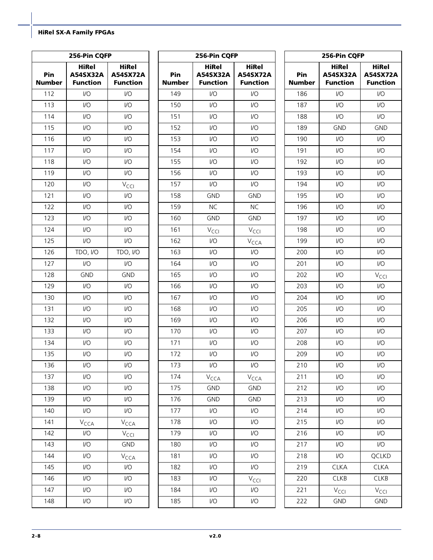|                      | 256-Pin CQFP                                       |                                      |
|----------------------|----------------------------------------------------|--------------------------------------|
| Pin<br><b>Number</b> | <b>HiRel</b><br><b>A54SX32A</b><br><b>Function</b> | HiRel<br>A54SX72A<br><b>Function</b> |
| 112                  | I/O                                                | I/O                                  |
| 113                  | I/O                                                | I/O                                  |
| 114                  | I/O                                                | I/O                                  |
| 115                  | I/O                                                | I/O                                  |
| 116                  | I/O                                                | I/O                                  |
| 117                  | I/O                                                | I/O                                  |
| 118                  | I/O                                                | I/O                                  |
| 119                  | I/O                                                | I/O                                  |
| 120                  | I/O                                                | V <sub>CCI</sub>                     |
| 121                  | I/O                                                | I/O                                  |
| 122                  | I/O                                                | I/O                                  |
| 123                  | I/O                                                | I/O                                  |
| 124                  | I/O                                                | I/O                                  |
| 125                  | I/O                                                | I/O                                  |
| 126                  | TDO, I/O                                           | TDO, I/O                             |
| 127                  | I/O                                                | $\mathsf{U}\mathsf{O}$               |
| 128                  | <b>GND</b>                                         | <b>GND</b>                           |
| 129                  | I/O                                                | I/O                                  |
| 130                  | I/O                                                | I/O                                  |
| 131                  | I/O                                                | I/O                                  |
| 132                  | I/O                                                | I/O                                  |
| 133                  | I/O                                                | I/O                                  |
| 134                  | I/O                                                | I/O                                  |
| 135                  | I/O                                                | 1/0                                  |
| 136                  | I/O                                                | I/O                                  |
| 137                  | I/O                                                | I/O                                  |
| 138                  | I/O                                                | $\overline{1}/\overline{O}$          |
| 139                  | I/O                                                | 1/O                                  |
| 140                  | I/O                                                | I/O                                  |
| 141                  | V <sub>сса</sub>                                   | <b>V</b> <sub>CCA</sub>              |
| 142                  | I/O                                                | V <sub>CCI</sub>                     |
| 143                  | I/O                                                | <b>GND</b>                           |
| 144                  | I/O                                                | V <sub>CCA</sub>                     |
| 145                  | I/O                                                | I/O                                  |
| 146                  | I/O                                                | I/O                                  |
| 147                  | I/O                                                | I/O                                  |
| 148                  | I/O                                                | I/O                                  |
|                      |                                                    |                                      |

| <b>HiRel</b><br>HiRel<br>Pin<br>A54SX32A<br>A54SX72A<br><b>Number</b><br><b>Function</b><br><b>Function</b><br>I/O<br>$\overline{1}/\overline{O}$<br>149<br>150<br>I/O<br>I/O |  |
|-------------------------------------------------------------------------------------------------------------------------------------------------------------------------------|--|
|                                                                                                                                                                               |  |
|                                                                                                                                                                               |  |
|                                                                                                                                                                               |  |
| 151<br>I/O<br>I/O                                                                                                                                                             |  |
| $\overline{1}/\overline{O}$<br>$\overline{1}/\overline{O}$<br>152                                                                                                             |  |
| 153<br>I/O<br>I/O                                                                                                                                                             |  |
| 154<br>$\overline{1}/\overline{O}$<br>I/O                                                                                                                                     |  |
| 155<br>$\overline{1}/\overline{O}$<br>$\overline{1}/\overline{O}$                                                                                                             |  |
| 156<br>I/O<br>I/O                                                                                                                                                             |  |
| 157<br>I/O<br>I/O                                                                                                                                                             |  |
| 158<br><b>GND</b><br><b>GND</b>                                                                                                                                               |  |
| 159<br><b>NC</b><br><b>NC</b>                                                                                                                                                 |  |
| 160<br><b>GND</b><br><b>GND</b>                                                                                                                                               |  |
| 161<br>V <sub>CCI</sub><br>V <sub>CCI</sub>                                                                                                                                   |  |
| 162<br>I/O<br>V <sub>CCA</sub>                                                                                                                                                |  |
| 163<br>I/O<br>1/O                                                                                                                                                             |  |
| 164<br>$\overline{1}/\overline{O}$<br>$\overline{1}/\overline{O}$                                                                                                             |  |
| 165<br>I/O<br>I/O                                                                                                                                                             |  |
| $\overline{1}/\overline{O}$<br>166<br>I/O                                                                                                                                     |  |
| 167<br>$\overline{1}/\overline{O}$<br>$\overline{1}/\overline{O}$                                                                                                             |  |
| 168<br>I/O<br>I/O                                                                                                                                                             |  |
| 169<br>I/O<br>I/O                                                                                                                                                             |  |
| 170<br>I/O<br>$\overline{1}/\overline{O}$                                                                                                                                     |  |
| 171<br>I/O<br>I/O                                                                                                                                                             |  |
| 172<br>I/O<br>I/O                                                                                                                                                             |  |
| 173<br>I/O<br>I/O                                                                                                                                                             |  |
| 174<br>V <sub>сса</sub><br>V <sub>CCA</sub>                                                                                                                                   |  |
| 175<br><b>GND</b><br><b>GND</b>                                                                                                                                               |  |
| 176<br><b>GND</b><br><b>GND</b>                                                                                                                                               |  |
| 177<br>I/O<br>I/O                                                                                                                                                             |  |
| 178<br>I/O<br>I/O                                                                                                                                                             |  |
| I/O<br>I/O<br>179                                                                                                                                                             |  |
| I/O<br>I/O<br>180                                                                                                                                                             |  |
| 181<br>I/O<br>I/O                                                                                                                                                             |  |
| I/O<br>$\overline{1}/\overline{O}$<br>182                                                                                                                                     |  |
| I/O<br>183<br>V <sub>CCI</sub>                                                                                                                                                |  |
| 184<br>I/O<br>I/O                                                                                                                                                             |  |
| I/O<br>185<br>I/O                                                                                                                                                             |  |

|               | 256-Pin CQFP                                |                                             |
|---------------|---------------------------------------------|---------------------------------------------|
| Pin<br>Number | <b>HiRel</b><br>A54SX32A<br><b>Function</b> | <b>HiRel</b><br>A54SX72A<br><b>Function</b> |
| 186           | I/O                                         | I/O                                         |
| 187           | I/O                                         | I/O                                         |
| 188           | I/O                                         | I/O                                         |
| 189           | <b>GND</b>                                  | <b>GND</b>                                  |
| 190           | I/O                                         | I/O                                         |
| 191           | I/O                                         | I/O                                         |
| 192           | I/O                                         | I/O                                         |
| 193           | I/O                                         | I/O                                         |
| 194           | I/O                                         | I/O                                         |
| 195           | I/O                                         | I/O                                         |
| 196           | I/O                                         | I/O                                         |
| 197           | I/O                                         | I/O                                         |
| 198           | I/O                                         | I/O                                         |
| 199           | I/O                                         | I/O                                         |
| 200           | I/O                                         | I/O                                         |
| 201           | I/O                                         | I/O                                         |
| 202           | I/O                                         | V <sub>CCI</sub>                            |
| 203           | I/O                                         | I/O                                         |
| 204           | I/O                                         | I/O                                         |
| 205           | I/O                                         | I/O                                         |
| 206           | I/O                                         | I/O                                         |
| 207           | I/O                                         | I/O                                         |
| 208           | I/O                                         | I/O                                         |
| 209           | I/O                                         | I/O                                         |
| 210           | I/O                                         | I/O                                         |
| 211           | I/O                                         | I/O                                         |
| 212           | I/O                                         | $\overline{1}/\overline{O}$                 |
| 213           | I/O                                         | I/O                                         |
| 214           | I/O                                         | I/O                                         |
| 215           | I/O                                         | I/O                                         |
| 216           | I/O                                         | I/O                                         |
| 217           | I/O                                         | I/O                                         |
| 218           | I/O                                         | QCLKD                                       |
| 219           | <b>CLKA</b>                                 | <b>CLKA</b>                                 |
| 220           | <b>CLKB</b>                                 | <b>CLKB</b>                                 |
| 221           | $V_{\textsf{CCI}}$                          | V <sub>CCI</sub>                            |
| 222           | GND                                         | <b>GND</b>                                  |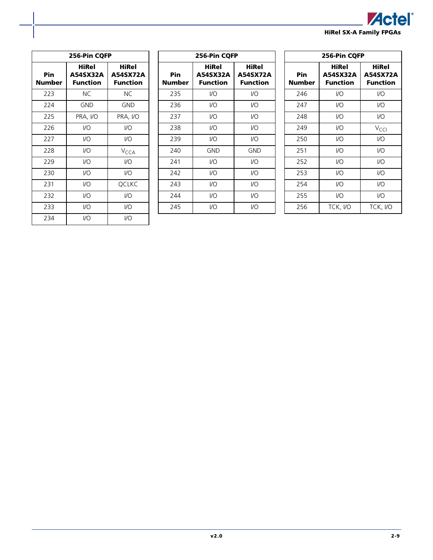

|               | 256-Pin CQFP                         |                                      |
|---------------|--------------------------------------|--------------------------------------|
| Pin<br>Number | HiRel<br>A54SX32A<br><b>Function</b> | HiRel<br>A54SX72A<br><b>Function</b> |
| 223           | ΝC                                   | NC.                                  |
| 224           | GND                                  | <b>GND</b>                           |
| 225           | PRA, I/O                             | PRA, I/O                             |
| 226           | I/O                                  | $IVO$                                |
| 227           | I/O                                  | $IVO$                                |
| 228           | I/O                                  | V <sub>CCA</sub>                     |
| 229           | I/O                                  | $IVO$                                |
| 230           | I/O                                  | $IVO$                                |
| 231           | VO                                   | <b>OCLKC</b>                         |
| 232           | I/O                                  | $IVO$                                |
| 233           | I/O                                  | I/O                                  |
| 234           | I/O                                  | I/O                                  |

|               | 256-Pin CQFP                         |                                      |
|---------------|--------------------------------------|--------------------------------------|
| Pin<br>Number | HiRel<br>A54SX32A<br><b>Function</b> | HiRel<br>A54SX72A<br><b>Function</b> |
| 235           | I/O                                  | VO                                   |
| 236           | I/O                                  | I/O                                  |
| 237           | I/O                                  | I/O                                  |
| 238           | I/O                                  | I/O                                  |
| 239           | 1/O                                  | 1/O                                  |
| 240           | <b>GND</b>                           | <b>GND</b>                           |
| 241           | 1/O                                  | 1/O                                  |
| 242           | I/O                                  | I/O                                  |
| 243           | 1/O                                  | I/O                                  |
| 244           | I/O                                  | I/O                                  |
| 245           | I/O                                  | I/O                                  |

| 256-Pin CQFP  |                                      |                                                    |
|---------------|--------------------------------------|----------------------------------------------------|
| Pin<br>Number | HiRel<br>A54SX32A<br><b>Function</b> | <b>HiRel</b><br><b>A54SX72A</b><br><b>Function</b> |
| 246           | I/O                                  | I/O                                                |
| 247           | 1/O                                  | I/O                                                |
| 248           | I/O                                  | I/O                                                |
| 249           | VO                                   | $V_{\text{CC}}$                                    |
| 250           | I/O                                  | I/O                                                |
| 251           | VO                                   | I/O                                                |
| 252           | 1/O                                  | I/O                                                |
| 253           | I/O                                  | I/O                                                |
| 254           | 1/O                                  | I/O                                                |
| 255           | 1/O                                  | I/O                                                |
| 256           | TCK, I/O                             | TCK, I/O                                           |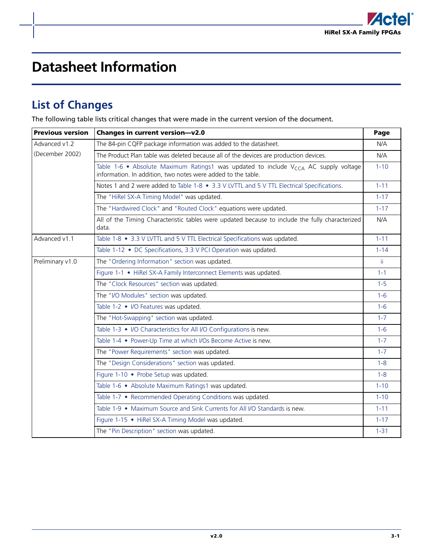

# <span id="page-46-0"></span>**Datasheet Information**

# <span id="page-46-1"></span>**List of Changes**

The following table lists critical changes that were made in the current version of the document.

| <b>Previous version</b> | Changes in current version-v2.0                                                                                                                          | Page     |
|-------------------------|----------------------------------------------------------------------------------------------------------------------------------------------------------|----------|
| Advanced v1.2           | The 84-pin CQFP package information was added to the datasheet.                                                                                          | N/A      |
| (December 2002)         | The Product Plan table was deleted because all of the devices are production devices.                                                                    | N/A      |
|                         | Table 1-6 • Absolute Maximum Ratings1 was updated to include $V_{CCA}$ AC supply voltage<br>information. In addition, two notes were added to the table. | $1 - 10$ |
|                         | Notes 1 and 2 were added to Table 1-8 • 3.3 V LVTTL and 5 V TTL Electrical Specifications.                                                               | $1 - 11$ |
|                         | The "HiRel SX-A Timing Model" was updated.                                                                                                               | $1 - 17$ |
|                         | The "Hardwired Clock" and "Routed Clock" equations were updated.                                                                                         | $1 - 17$ |
|                         | All of the Timing Characteristic tables were updated because to include the fully characterized<br>data.                                                 | N/A      |
| Advanced v1.1           | Table 1-8 • 3.3 V LVTTL and 5 V TTL Electrical Specifications was updated.                                                                               | $1 - 11$ |
|                         | Table 1-12 • DC Specifications, 3.3 V PCI Operation was updated.                                                                                         | $1 - 14$ |
| Preliminary v1.0        | The "Ordering Information" section was updated.                                                                                                          | ii.      |
|                         | Figure 1-1 . HiRel SX-A Family Interconnect Elements was updated.                                                                                        | $1 - 1$  |
|                         | The "Clock Resources" section was updated.                                                                                                               | $1 - 5$  |
|                         | The "I/O Modules" section was updated.                                                                                                                   | $1 - 6$  |
|                         | Table 1-2 • I/O Features was updated.                                                                                                                    | $1 - 6$  |
|                         | The "Hot-Swapping" section was updated.                                                                                                                  | $1 - 7$  |
|                         | Table 1-3 • I/O Characteristics for All I/O Configurations is new.                                                                                       | $1 - 6$  |
|                         | Table 1-4 • Power-Up Time at which I/Os Become Active is new.                                                                                            | $1 - 7$  |
|                         | The "Power Requirements" section was updated.                                                                                                            | $1 - 7$  |
|                         | The "Design Considerations" section was updated.                                                                                                         | $1 - 8$  |
|                         | Figure 1-10 • Probe Setup was updated.                                                                                                                   | $1 - 8$  |
|                         | Table 1-6 • Absolute Maximum Ratings1 was updated.                                                                                                       | $1 - 10$ |
|                         | Table 1-7 • Recommended Operating Conditions was updated.                                                                                                | $1 - 10$ |
|                         | Table 1-9 • Maximum Source and Sink Currents for All I/O Standards is new.                                                                               | $1 - 11$ |
|                         | Figure 1-15 • HiRel SX-A Timing Model was updated.                                                                                                       | $1 - 17$ |
|                         | The "Pin Description" section was updated.                                                                                                               | $1 - 31$ |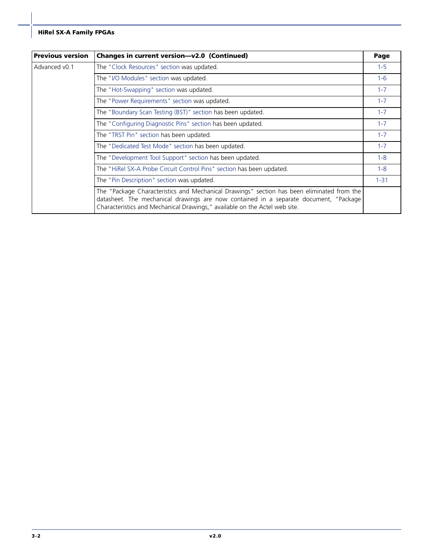| <b>Previous version</b> | Changes in current version-v2.0 (Continued)                                                                                                                                                                                                                       | Page     |
|-------------------------|-------------------------------------------------------------------------------------------------------------------------------------------------------------------------------------------------------------------------------------------------------------------|----------|
| Advanced v0.1           | The "Clock Resources" section was updated.                                                                                                                                                                                                                        | $1 - 5$  |
|                         | The "I/O Modules" section was updated.                                                                                                                                                                                                                            | $1 - 6$  |
|                         | The "Hot-Swapping" section was updated.                                                                                                                                                                                                                           | $1 - 7$  |
|                         | The "Power Requirements" section was updated.                                                                                                                                                                                                                     | $1 - 7$  |
|                         | The "Boundary Scan Testing (BST)" section has been updated.                                                                                                                                                                                                       | $1 - 7$  |
|                         | The "Configuring Diagnostic Pins" section has been updated.                                                                                                                                                                                                       | $1 - 7$  |
|                         | The "TRST Pin" section has been updated.                                                                                                                                                                                                                          | $1 - 7$  |
|                         | The "Dedicated Test Mode" section has been updated.                                                                                                                                                                                                               | $1 - 7$  |
|                         | The "Development Tool Support" section has been updated.                                                                                                                                                                                                          | $1 - 8$  |
|                         | The "HiRel SX-A Probe Circuit Control Pins" section has been updated.                                                                                                                                                                                             | $1 - 8$  |
|                         | The "Pin Description" section was updated.                                                                                                                                                                                                                        | $1 - 31$ |
|                         | The "Package Characteristics and Mechanical Drawings" section has been eliminated from the<br>datasheet. The mechanical drawings are now contained in a separate document, "Package<br>Characteristics and Mechanical Drawings," available on the Actel web site. |          |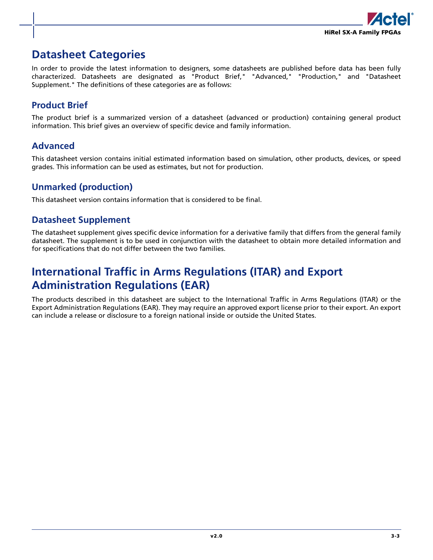

# <span id="page-48-0"></span>**Datasheet Categories**

In order to provide the latest information to designers, some datasheets are published before data has been fully characterized. Datasheets are designated as "Product Brief," "Advanced," "Production," and "Datasheet Supplement." The definitions of these categories are as follows:

# **Product Brief**

The product brief is a summarized version of a datasheet (advanced or production) containing general product information. This brief gives an overview of specific device and family information.

# **Advanced**

This datasheet version contains initial estimated information based on simulation, other products, devices, or speed grades. This information can be used as estimates, but not for production.

# **Unmarked (production)**

This datasheet version contains information that is considered to be final.

# **Datasheet Supplement**

The datasheet supplement gives specific device information for a derivative family that differs from the general family datasheet. The supplement is to be used in conjunction with the datasheet to obtain more detailed information and for specifications that do not differ between the two families.

# <span id="page-48-1"></span>**International Traffic in Arms Regulations (ITAR) and Export Administration Regulations (EAR)**

The products described in this datasheet are subject to the International Traffic in Arms Regulations (ITAR) or the Export Administration Regulations (EAR). They may require an approved export license prior to their export. An export can include a release or disclosure to a foreign national inside or outside the United States.